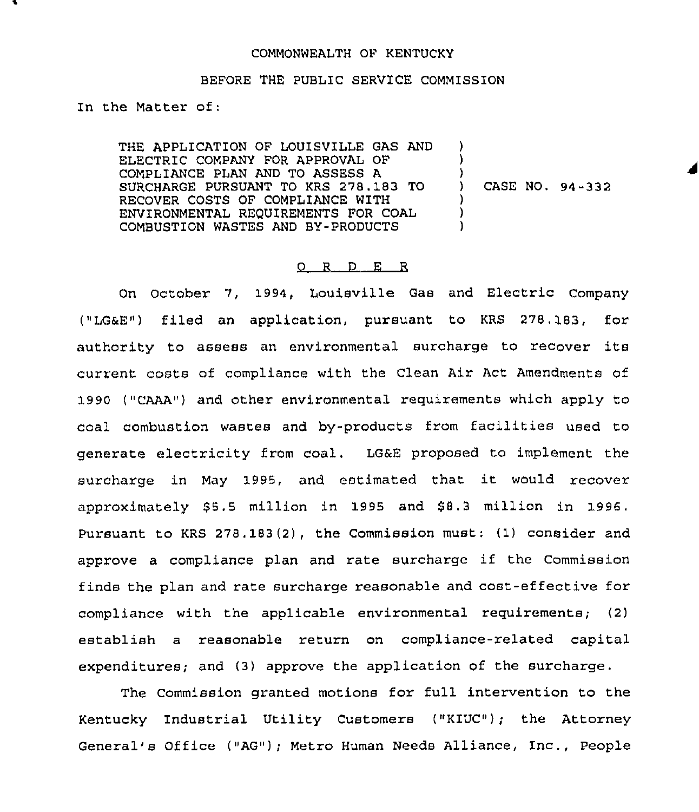#### COMMONWEALTH OF KENTUCKY

#### BEFORE THE PUBLIC SERVICE COMMISSION

In the Matter of:

THE APPLICATION OF LOUISVILLE GAS AND ELECTRIC COMPANY FOR APPROVAL OF COMPLIANCE PLAN AND TO ASSESS A SURCHARGE PURSUANT TO KRS 278.183 TO RECOVER COSTS OF COMPLIANCE WITH ENVIRONMENTAL REQUIREMENTS FOR COAL COMBUSTION WASTES AND BY-PRODUCTS ) ) ) ) ) )

) CASE NO. 94-332

#### 0 R <sup>D</sup> E R

On October 7, 1994, Louisville Gas and Electric Company ("LG&E") filed an application, pursuant to KRS 278.183, for authority to assess an environmental surcharge to recover its current costs of compliance with the Clean Air Act Amendments of 1990 ("CAAA") and other environmental requirements which apply to coal combustion wastes and by-products from facilities used to generate electricity from coal. LGaE proposed to implement the surcharge in May 1995, and estimated that it would recover approximately \$5.5 million in 1995 and \$8.3 million in 1996. Pursuant to KRS 278. 183(2), the Commission must: (1) consider and approve a compliance plan and rate surcharge if the Commission finds the plan and rate surcharge reasonable and cost-effective for compliance with the applicable environmental requirements; (2) establish a reasonable return on compliance-related capital expenditures; and (3) approve the application of the surcharge.

The Commission granted motions for full intervention to the Kentucky Industrial Utility Customers ("KIUC"); the Attorney General's Office ("AG"); Metro Human Needs Alliance, Inc., People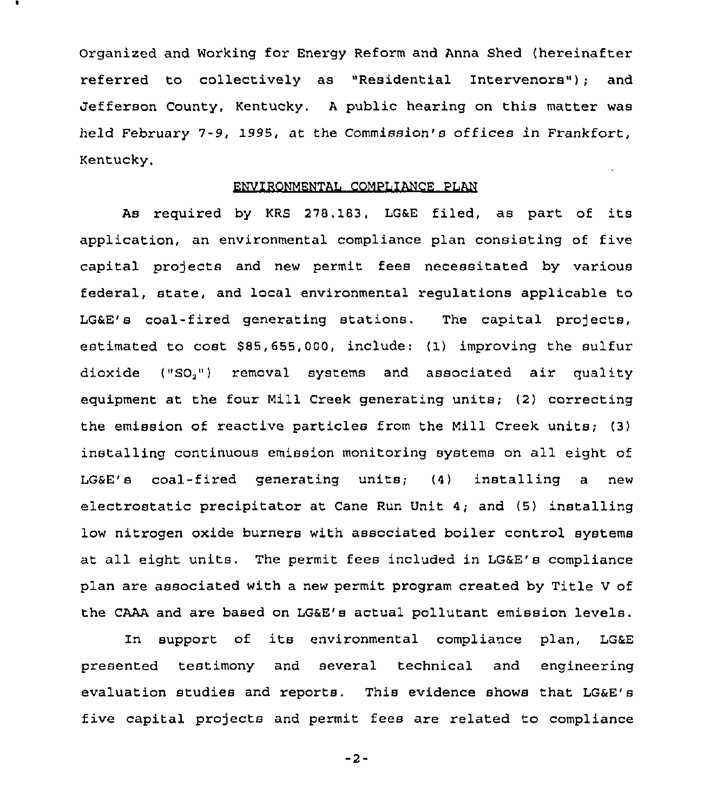Organized and Working for Energy Reform and Anna Shed (hereinafter referred to collectively as "Residential Intervenors"); and Jefferson County, Kentucky, <sup>A</sup> public hearing on this matter was held February 7-9, 1995, at the Commission's offices in Frankfort, Kentucky.

#### ENVIRONMENTAL COMPLIANCE PLAN

As required by KRS 278.183, LG&E filed, as part of its application, an environmental compliance plan consisting of five capital projects and new permit fees necessitated by various federal, state, and local environmental regulations applicable to LG&E's coal-fired generating stations. The capital projects, estimated to cost 585,655,000, include: (1) improving the sulfur dioxide ("SO,") xemoval systems and associated air quality equipment at the four Mill Creek generating units; (2) correcting the emission of reactive particles from the Mill Creek units; (3) installing continuous emission monitoring systems on all eight of LGSE's coal-fired generating units; (4) installing a new electrostatic precipitator at Cane Run Unit 4; and (5) installing low nitrogen oxide burners with associated boiler control systems at all eight units. The permit fees included in LGaE's compliance plan are associated with a new permit program created by Title <sup>V</sup> of the CAAA and are based on LGaE's actual pollutant emission levels.

In support of its environmental compliance plan, LGaE presented testimony and several technical and engineering evaluation studies and reports. This evidence shows that LGaE's five capital projects and permit fees are related to compliance

 $-2-$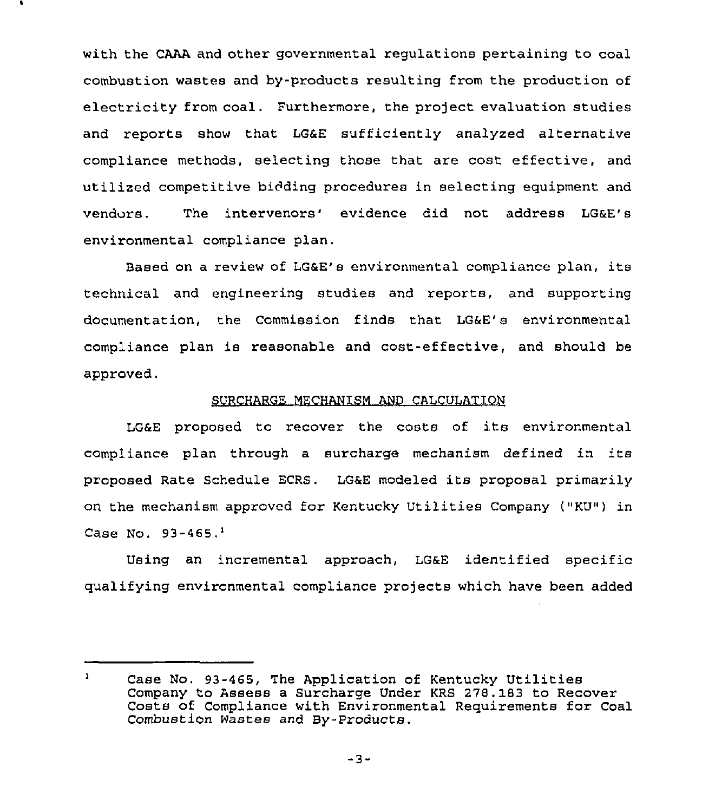with the CAAA and other governmental regulations pertaining to coal combustion wastes and by-products resulting from the production of electricity from coal. Furthermore, the project evaluation studies and reports show that LG&E sufficiently analyzed alternative compliance methods, selecting those that are cost effective, and utilized competitive bidding procedures in selecting equipment and vendors. The intervenors' evidence did not address LG&E's environmental compliance plan.

Based on a review of LG&E's environmental compliance plan, its technical and engineering studies and reports, and supporting documentation, the Commission finds that LG&E's environmental compliance plan is reasonable and cost-effective, and should be approved.

## SURCHARGE MECHANISM AND CALCULATION

LG&E proposed to recover the costs of its environmental compliance plan through <sup>a</sup> surcharge mechanism defined in its proposed Rate Schedule ECRS. LG6E modeled its proposal primarily on the mechanism approved for Kentucky Utilities Company ("KU") in Case No.  $93-465.$ <sup>1</sup>

Using an incremental approach, LG&E identified specific qualifying environmental compliance projects which have been added

 $\mathbf{1}$ Case No. 93-465, The Application of Kentucky Utilities Company to Assess a Surcharge Under KRS 278. 183 to Recover Costs of Compliance with Environmental Requirements for Coal Combustion Wastes and By-Products.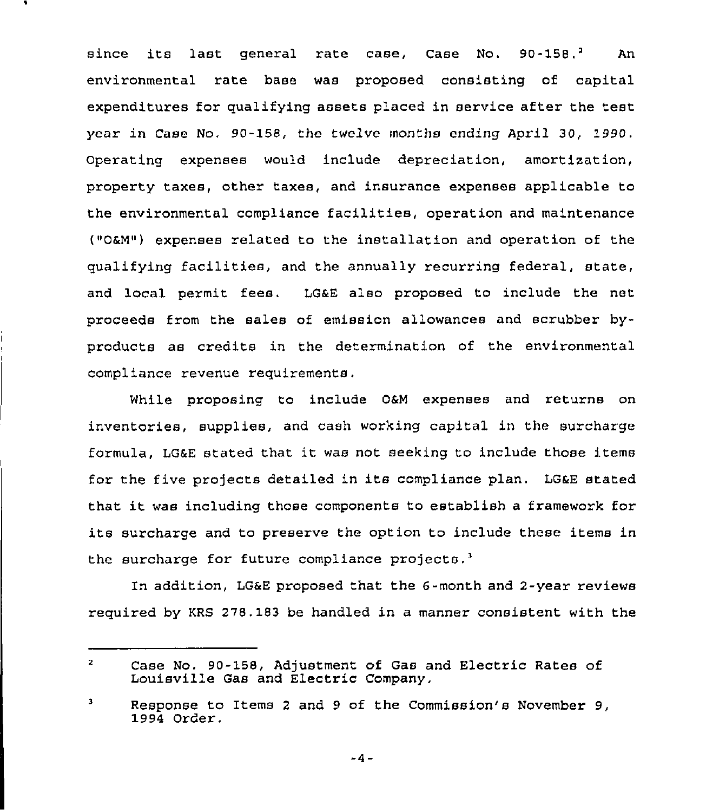since its last general rate case, Case No. 90-158.<sup>2</sup> An environmental rate hase was proposed consisting of capital expenditures for qualifying assets placed in service after the test year in Case No. 90-158, the twelve months ending April 30, 1990. Operating expenses would include depreciation, amortization, property taxes, other taxes, and insurance expenses applicable to the environmental compliance facilities, operation and maintenance ("OaM") expenses related to the installation and operation of the qualifying facilities, and the annually recurring federal, state, and local permit fees, LGaE also proposed to include the net proceeds from the sales of emission allowances and scrubber byproducts as credits in the determination of the environmental compliance revenue requirements.

While proposing to include OaM expenses and returns on inventories, supplies, and cash working capital in the surcharge formula, LGaE stated that it was not seeking to include those items for the five projects detailed in its compliance plan, LGaE stated that it was including those components to establish <sup>a</sup> framework for its surcharge and to preserve the option to include these items in the surcharge for future compliance  $projects.<sup>3</sup>$ 

In addition, LG&E proposed that the 6-month and 2-year reviews required by KRS 278.183 be handled in a manner consistent with the

 $-4-$ 

 $\mathbf{z}$ Case No. 90-158, Adjustment of Gas and Electric Rates of Louisville Gas and Electric Company,

 $\mathbf 3$ Response to Items <sup>2</sup> and <sup>9</sup> of the Commission's November 9, 1994 Order.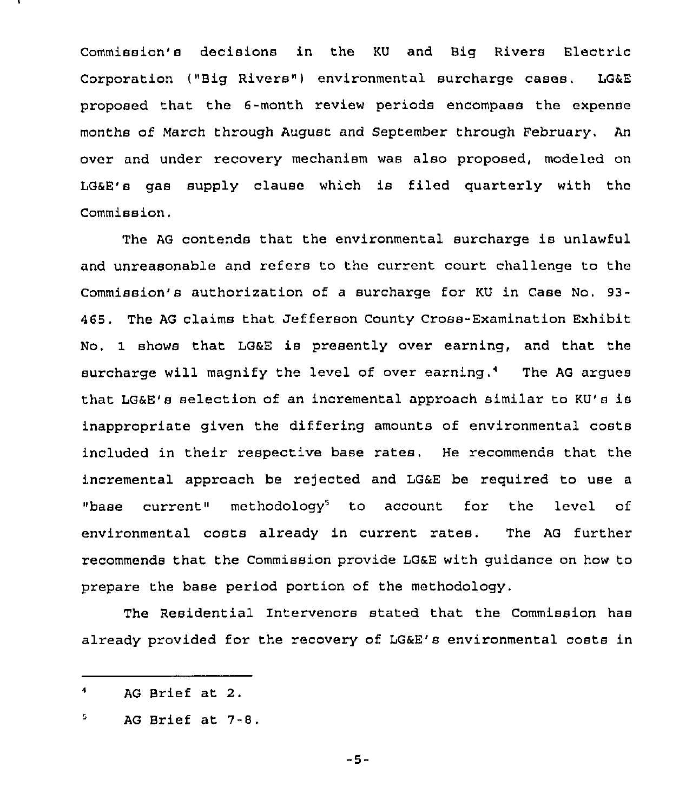Commission's decisions in the KU and Big Rivers Electric Corporation ("Big Rivers") environmental surcharge cases. LG&E proposed that the 6-month review periods encompass the expense months of March through August and September through February. An over and under recovery mechanism was also proposed, modeled on LOSE's gas supply clause which is filed quarterly with the Commission.

The AG contends that the environmental surcharge is unlawful and unreasonable and refers to the current court challenge to the Commission's authorization of a surcharge for KU in Case No. 93- 465. The AG claims that Jefferson County Cross-Examination Exhibit No. 1 shows that LG&E is presently over earning, and that the surcharge will magnify the level of over earning.4 The AG argues that LG6E's selection of an incremental approach similar to KU's is inappropriate given the differing amounts of environmental costs included in their respective base rates. He recommends that the incremental approach be rejected and LG&E be required to use a "base current" methodology<sup>5</sup> to account for the level of environmental costs already in current rates. The AG further recommends that the Commission provide LG&E with guidance on how to prepare the base period portion of the methodology.

The Residential Intervenors stated that the Commission has already provided for the recovery of LG6E's environmental costs in

 $-5-$ 

 $\ddot{\phantom{a}}$ AG Brief at 2.

<sup>5</sup> AG Brief at 7-8.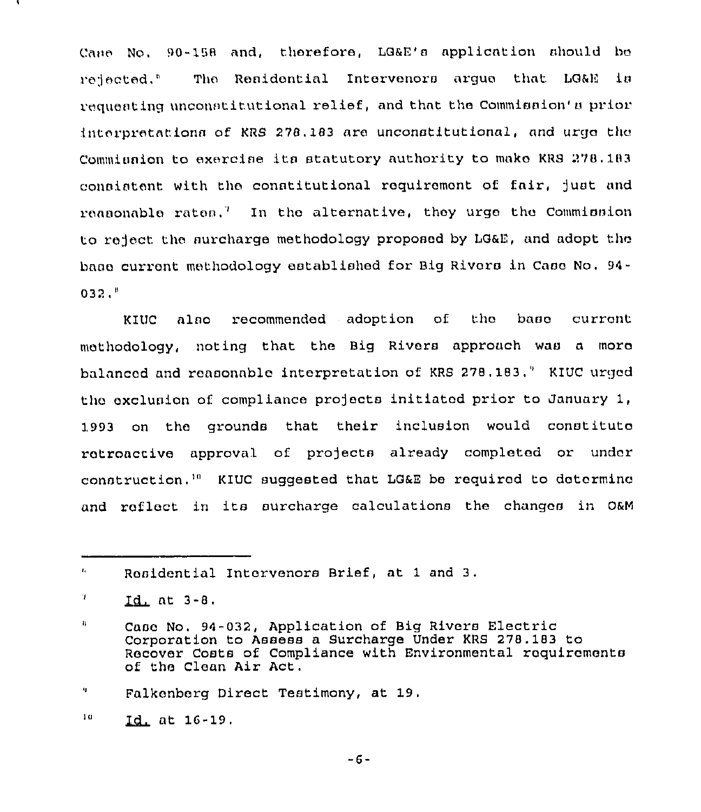Cane No. 90-158 and, therefore, LG&E's application should be relected," The Renidential Intervenors arque that LG&E is requesting unconstitutional relief, and that the Commission' prior interpretations of KRS 278,183 are unconstitutional, and urge the Commianion to exercise ita statutory authority to mako KRS 278. 183 consistent with the constitutional requirement of fair, just and reasonable rates.<sup>7</sup> In the alternative, they urge the Commission to reject the surcharge methodology proposed by LGaE, and adopt tho bane current methodology established for Big Rivers in Case No. 94-  $032<sup>h</sup>$ 

KIUC also recommended adoption of the base current methodology, noting that the Big Rivers approach was a moro bnlnncod and ronaonnble interpretation of KRS 278, 183," KIUC urged the exclusion of compliance projects initiated prior to January 1, 1993 on tho grounds that their inclusion would constituto retroactive approval of projects already completed or under construction.'" KIUC suggested that LG6E be required to determine and reflect in its surcharge calculations the changes in O&M

t, Ronidential Intorvenors Brief, at <sup>1</sup> and 3.

<sup>7</sup>  $Id.$  at  $3-8.$ 

п. Caao No. 94-032, Application of Big Rivors Electric Corporation to Assess a Surcharge Under KRS 278. 183 to Recover Costs of Compliance with Environmental requirements of the Cloan Air Act.

<sup>9.</sup> Falkonborg Direct Testimony, at 19,

 $10<sub>1</sub>$ at 16-19,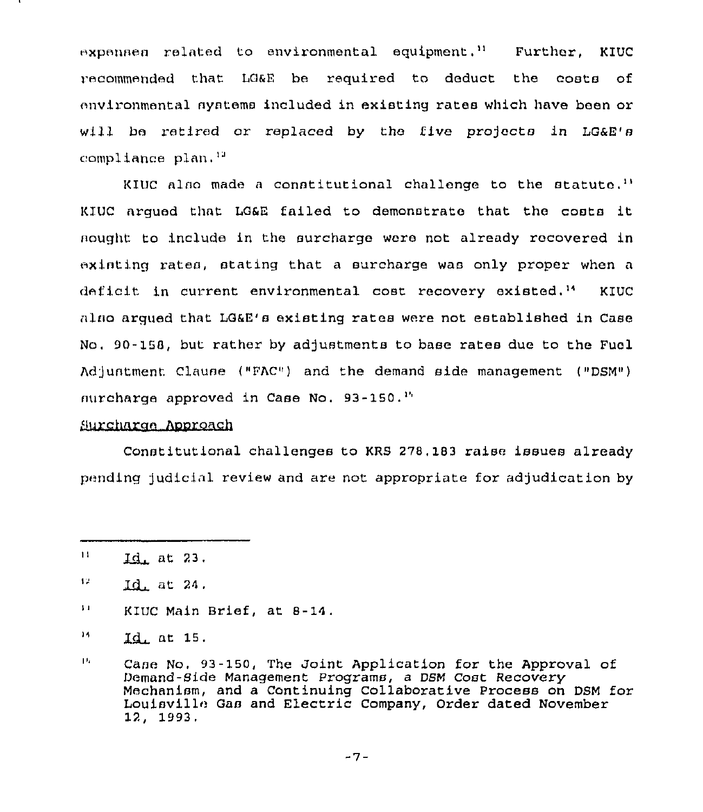expenses related to environmental equipment." Further, KIUC <sup>&</sup>gt; ecommended that LO&E be required to deduct the costs of environmental systems included in existing rates which have been or will be retired or replaced by the five projects in LG&E's compliance plan. '"

KIUC also made a constitutional challenge to the statute.<sup>13</sup> l<IUC argued that LG&E failed to demonstrate that the costs it nought to include in the surcharge were not already recovered in existing rates, stating that a surcharge was only proper when a deficit in current environmental cost recovery existed,'" KIUC sino arqued that LG&E's existing rates were not established in Case No, 90-155, but rather by adjustments to base rates due to the Fuel Adjuntment Clause ("FAC") and the demand side management ("DSM")  $\mu$ urcharge approved in Case No. 93-150.<sup>14</sup>

## Surcharge Approach

Constitutional challenges to KRS 275,IB3 raise issues already pending )udlclnl review and are not appropriate for adjudication by

 $11$  $Id$  at 23.

 $17<sub>1</sub>$ Id. at 24.

 $\mathbf{H}$ KIUC Main Brief, at 8-14.

 $14$  $Id<sub>L</sub>$  at 15,

 $1h$ Case No. 93-150, The Joint Application for the Approval of Demand-Side Management Programs, a DSM Cost Recovery Mechanism, and a Continuing Collaborative Process on DSM for Louisville Gas and Electric Company, Order dated November 12, 1993,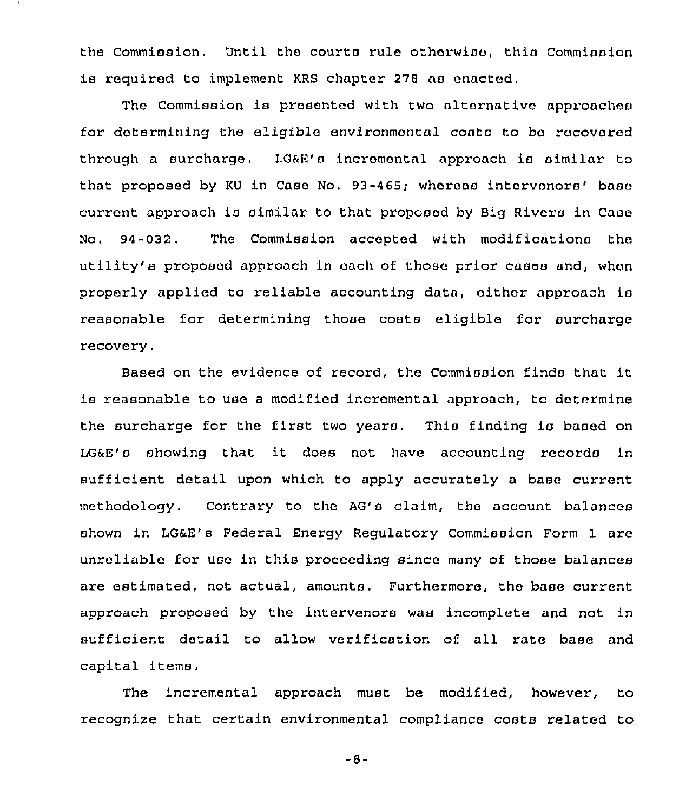the Commission, Until the courts rule otherwise, this Commission is required to implement KRS chapter 278 ns enacted.

The commission is presented with two alternative approachea for determining the eligible environmental costa to ba recovered through a surcharge. LG6E's incremental approach is similar to that proposed by KU in Case No. 93-465; whereas intervenors' base current approach is similar to that proposed by Big Rivers in Caao No.  $94-032$ . The Commission accepted with modifications the utility's proposed approach in each of those prior cases and, when properly applied to reliable accounting data, either approach ia reasonable for determining those costa eligible for surcharge recovery.

Based on the evidence of record, the Commission finds that it is reasonable to use <sup>a</sup> modified incremental approach, to determine the surcharge for the first two years. This finding is based on LG&E's showing that it does not have accounting records in sufficient detail upon which to apply accurately a base current methodology. Contrary to the AG's claim, the account balances shown in LG&E's Federal Energy Regulatory Commission Form 1 are unreliable for use in this proceeding since many of those balances are estimated, not actual, amounts. Furthermore, the base current approach proposed by the intervenors was incomplete and not in sufficient detail to allow verification of all rate base and capital items.

The incremental approach must be modified, however, to recognize that certain environmental compliance costs related to

-8-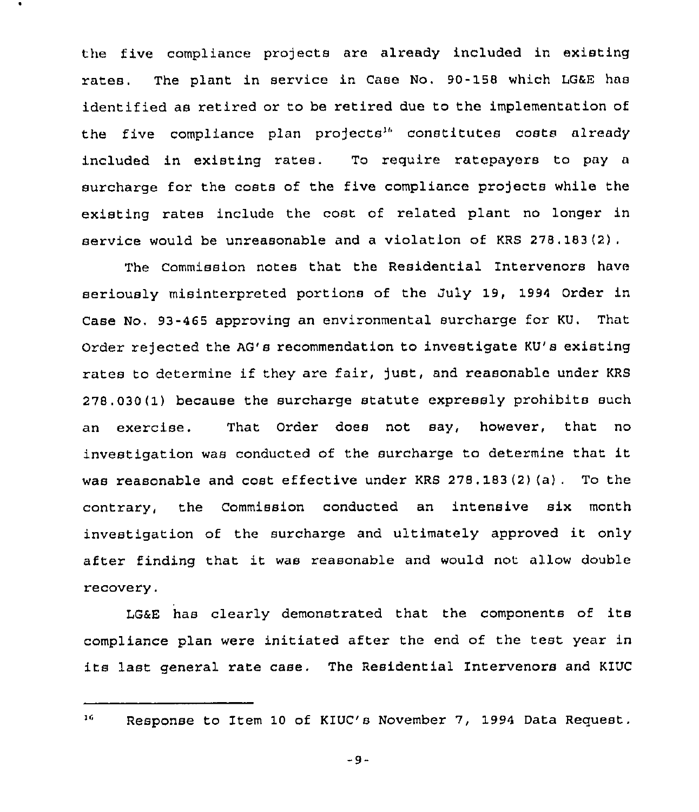the five compliance projects are already included in existing rates. The plant in service in Case No. 90-158 which LG&E has identified as retired or to be retired due to the implementation of the five compliance plan projects<sup>16</sup> constitutes costs already included in existing rates. To require ratepayers to pay <sup>a</sup> surcharge for the costs of the five compliance projects while the existing rates include the cost of related plant no longer in service would be unreasonable and a violation of KRS 278, 183(2).

The Commission notes that the Residential Intervenors have seriously misinterpreted portions of the July 19, 1994 Order in Case No. 93-465 approving an environmental surcharge for KU. That Order rejected the AG's recommendation to investigate KU's existing rates to determine if they are fair, just, and reasonable under KRS 278.030(1) because the surcharge statute expressly prohibits such an exercise. That Order does not say, however, that no investigation was conducted of the surcharge to determine that it was reasonable and cost effective under KRS 278 . 183 (2) (a) . To the contrary, the Commission conducted an intensive six month investigation of the surcharge and ultimately approved it only after finding that it was reasonable and would not allow double recovery.

LG&E has clearly demonstrated that the components of its compliance plan were initiated after the end of the test year in its last general rate case. The Residential Intervenors and KIUC

16

-9-

Response to Item 10 of KIUC's November 7, 1994 Data Request.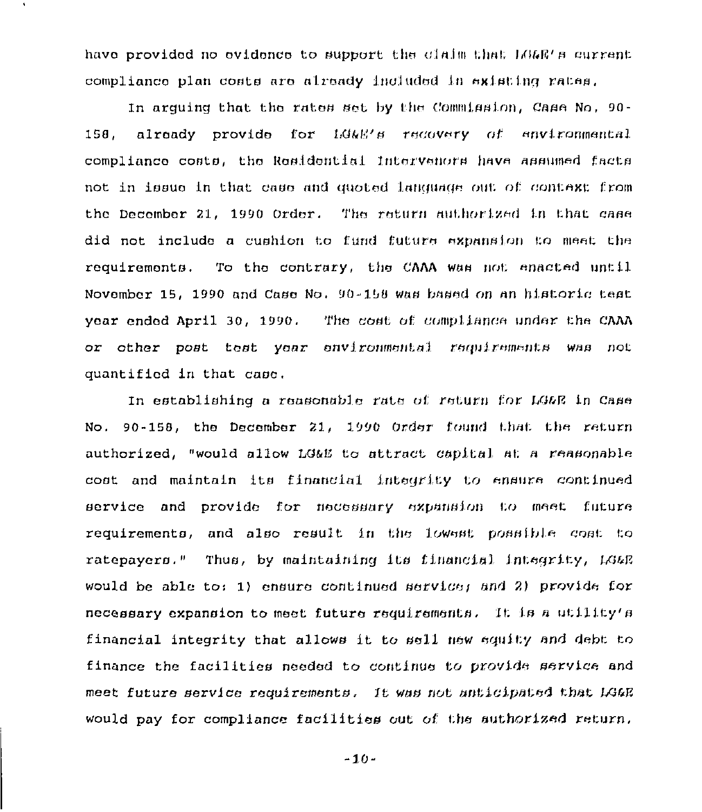have provided no evidence to support the claim that LG&E's current compliance plan costs are already included in existing rates.

In arquing that the rates set by the Commission, Case No. 90already provide for LG&E's recovery of environmental 158. compliance costs, the Residential Intervanors have assumed facts not in issue in that case and quoted language out of context from the December 21, 1990 Order. The return authorized in that case did not include a cushion to fund future expansion to meet the requirements. To the contrary, the CAAA was not enacted until November 15, 1990 and Case No. 90-158 was based on an historic test year ended April 30, 1990. The cost of compliance under the CAAA or other post test year environmental requirements was not quantified in that case.

In establishing a reasonable rate of return for LG&R in Case No. 90-158, the December 21, 1990 Order found that the return authorized, "would allow LG&E to attract capital at a reasonable cost and maintain its financial integrity to ensure continued service and provide for necessary expansion to meet future requirements, and also result in the lowest possible cost to ratepayers." Thus, by maintaining its financial integrity, LG&R would be able to: 1) ensure continued service; and 2) provide for necessary expansion to meet future requirements. It is a utility's financial integrity that allows it to sell new equity and debt to finance the facilities needed to continus to provide service and meet future service requirements. It was not anticipated that LG&E would pay for compliance facilities out of the authorized return.

 $-10-$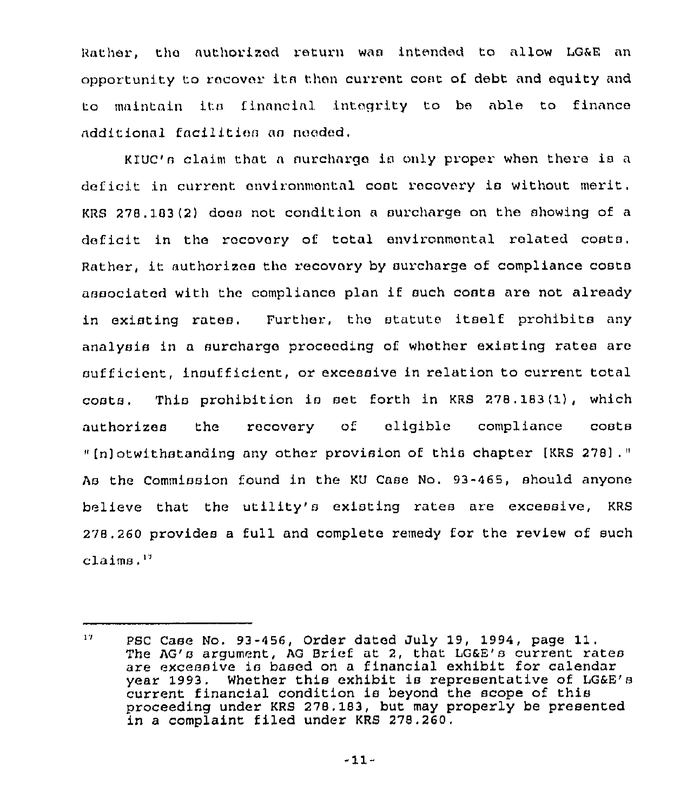Rather, the authorized return was intended to allow LG&E an opportunity to recover its then current cost of debt and equity and to maintain itn finnncinl intoqrity to be able to finnnce additional facilities as needed.

K1UC'n claim that <sup>n</sup> nurchnrqe ia only proper when there ia a deficit in current environmental coat recovery is without merit. KRS  $278.183(2)$  does not condition a surcharge on the showing of a deficit in the rocovory of total environmental rolated costs, Rather, it authorizes tho recovory by surcharge of compliance costa associated with the compliance plan if such costs are not already in existing rates, Further, the statute itself prohibits any analysis in a surcharge proceeding of whether existing rates are sufficient, insufficient, or excessive in relation to current total costs. This prohibition ia aet forth in KRS 278.183(1), which authorizes the recovery of eligible compliance coats " [n] otwithstanding any other provision of this chapter [KRS 278] . " As the Commission found in the KU Case No. 93-465, should anyone believe that the utility's existing rates are excessive, KRS 278,260 provides a full and complete remedy for the review of such claims, ''

 $17<sub>1</sub>$ PSC Case No. 93-456, Order dated July 19, 1994, page 11. The  $AG'$ s argument, AG Brief at 2, that  $LGAE'B$  current rates are excessive is based on a financial exhibit for calendar year 1993. Whether this exhibit is representative of LG&E's current financial condition is beyond the scope of this proceeding under KRS 278. 183, but may properly be presented in a complaint filed under KRS 278.260,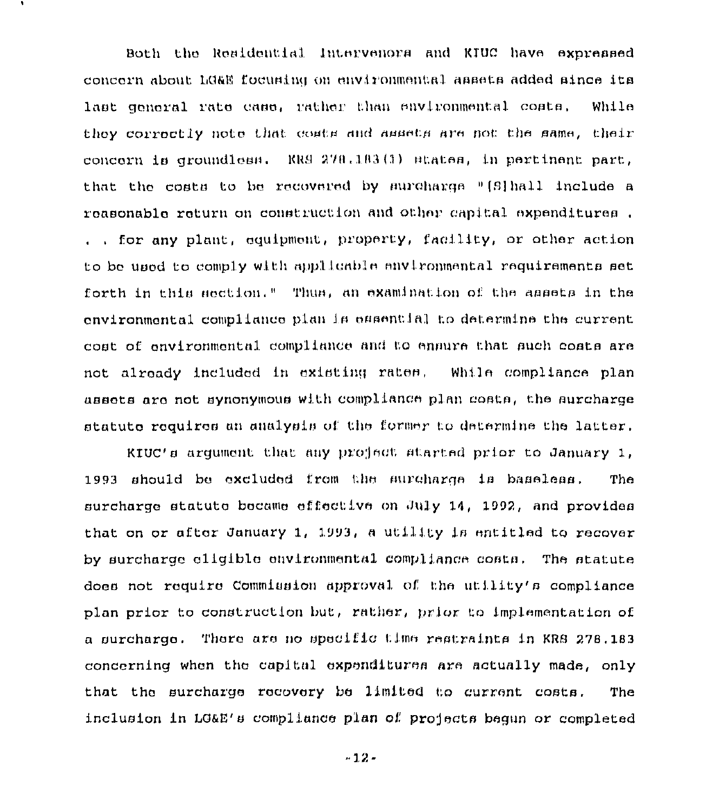Both the Residential Intervenors and KIUC have expressed concern about LG&E focusing on environmental assets added since its last general rate case, rather than environmental costs. While they correctly note that comts and ammets are not the same, their concern is groundless. RRS 278.183(1) states, in pertinent part, that the costs to be recovered by surcharge "[S]hall include a reasonable return on construction and other capital expenditures. ... for any plant, equipment, property, facility, or other action to be used to comply with applicable environmental requirements set forth in this section." Thus, an examination of the assets in the environmental compliance plan is essential to determine the current cost of environmental compliance and to ensure that such costs are not already included in existing rates. While compliance plan assets are not synonymous with compliance plan costs, the surcharge statute requires an analysis of the former to determine the latter.

RIUC's argument that any project started prior to January 1, 1993 should be excluded from the surcharge is baseless. The surcharge statute became effective on July 14, 1992, and provides that on or after January 1, 1993, a utility is entitled to recover by surcharge eligible environmental compliance costs. The statute does not require Commission approval of the utility's compliance plan prior to construction but, rather, prior to implementation of a surcharge. There are no specific time restraints in KRS 278.183 concerning when the capital expenditures are actually made, only that the surcharge recovery be limited to current costs. The inclusion in LG&E's compliance plan of projects begun or completed

 $-12-$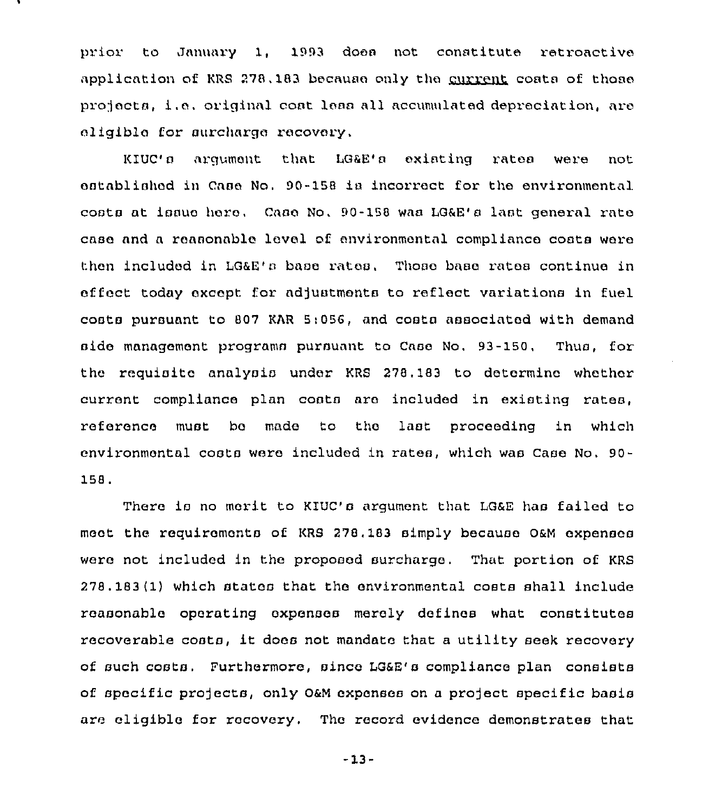prior to January 1, 1993 does not constitute retroactive application of KRS 278, 183 because only the current costa of those projects, i.o. original coat lean all accumulated depreciation, aro eligible for surcharge recovery,

KIUc'a argument that LGRE'a existing rates were not established in Cnao No, 90-158 ia incorrect for the environmental costs at issue here, Case No, 90-158 was LG&E's last general rate case and a reasonable lovel of environmental compliance costa were thon included in LG8E'a base rates. Those base rates continue in effoct today except for adjuatmonta to reflect variationa in fuel coats pursuant to 807 KAR 5;056, and costa associated with demand aido management programs pursuant to Caao No. 93-150, Thus, for the requisite analysis under KRS 278.183 to determine whether current compliance plan coats aro included in existing rates, reference must bo mado to tho last proceoding in which environmental costa were included in rates, which was caao No. 90- 158.

There is no merit to KIUC's argument that LG&E has failed to moot the requiromonta of KRS 278, 183 simply because OsM expenses were not included in the proposed surcharge. That portion of KRS 278.183 Il) which atatoa that the environmental costs shall include reasonable operating expenses merely defines what constitutes recoverable coats, it does not mandate that <sup>a</sup> utility seek recovery of such coats. Furthermore, since LG&E'a compliance plan consists of specific projects, only 0&M expenses on a project specific basis are eligible for recovery, The record evidence demonstrates that

 $-13-$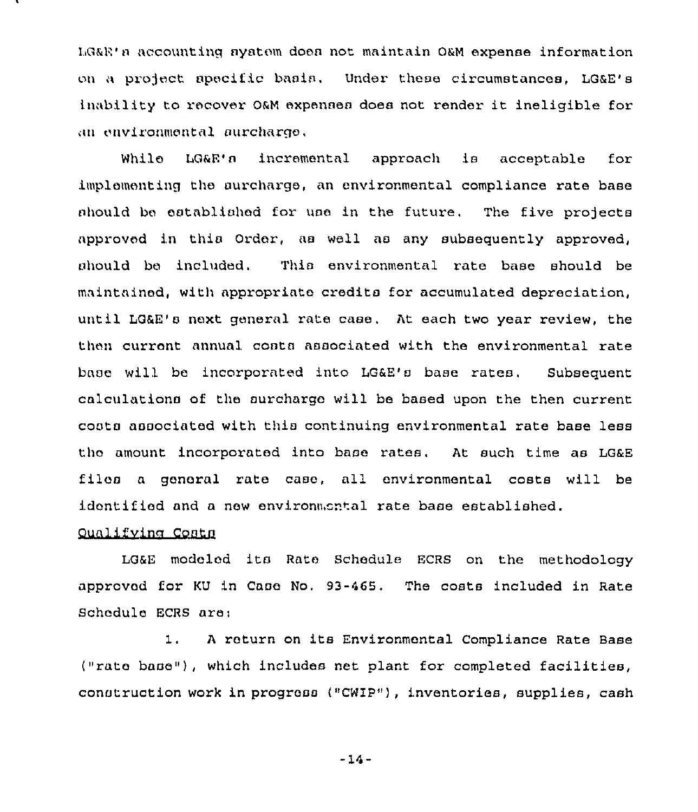LG&E's accounting system does not maintain O&M expense information on a project apecific basis. Under these circumstances, LG&E's inability to recover O&M expenses does not rendor it ineligible for an environmental aurcharge.

While LG&E's incremental approach is acceptable for implomenting the surcharge, an environmental compliance rate base should be established for use in the future. The five projects approved in this Order, as well as any subsequently approved, should bo included. This environmental rate base should be maintained, with appropriate credits for accumulated depreciation, until LG&E's next general rate case. At each two year review, the thon curront annual costa associated with the environmental rate base will bo incorporated into LG&E's base rates. Subsequent calculations of the surcharge will be based upon the then current costs associated with this continuing environmental rate base less tho amount incorporated into base rates. At such time as LG&E filos <sup>a</sup> gonoral rate case, all environmental costs will be idontified and a new environmental rate base established.

## Qualifying Costs

LG&E modolod its Rate Schedule ECRS on the methodology approved for KU in Case No. 93-465, The costs included in Rate Schedule ECRS are;

1. <sup>A</sup> return on its Environmental Compliance Rate Base ("rate base"), which includes net plant for completed facilities, construction work in progress ("CWIP"), inventories, supplies, cash

 $-14-$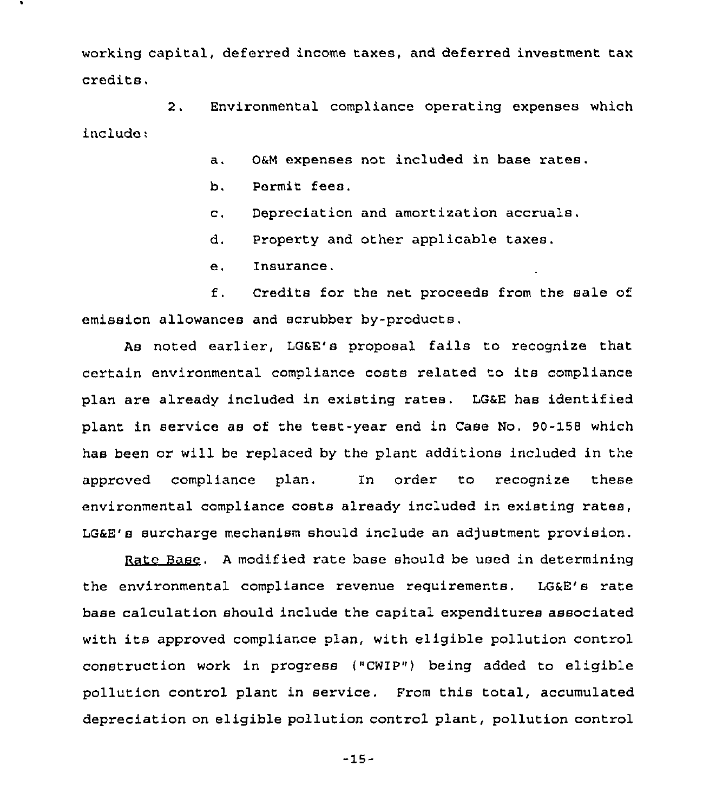working capital, deferred income taxes, and deferred investment tax credits.

2. Environmental compliance operating expenses which include:

- a. 0&M expenses not included in base rates.
- b. Permit fees.
- c. Depreciation and amortization accruals.
- d. Property and other applicable taxes.
- e. Insurance.

f. Credits for the net proceeds from the sale of emission allowances and scrubber by-products.

As noted earlier, LG&E's proposal fails to recognize that certain environmental compliance costs related to its compliance plan are already included in existing rates. LG&E has identified plant in service as of the test-year end in Case No. 90-158 which has been or will be replaced by the plant additions included in the approved compliance plan. In order to recognize these environmental compliance costs already included in existing rates, LG&E's surcharge mechanism should include an adjustment provision.

Rate Base. <sup>A</sup> modified rate base should be used in determining the environmental compliance revenue requirements. LG&E's rate base calculation should include the capital expenditures associated with its approved compliance plan, with eligible pollution control construction work in progress ("CWIP"} being added to eligible pollution control plant in service. From this total, accumulated depreciation on eligible pollution control plant, pollution control

-15-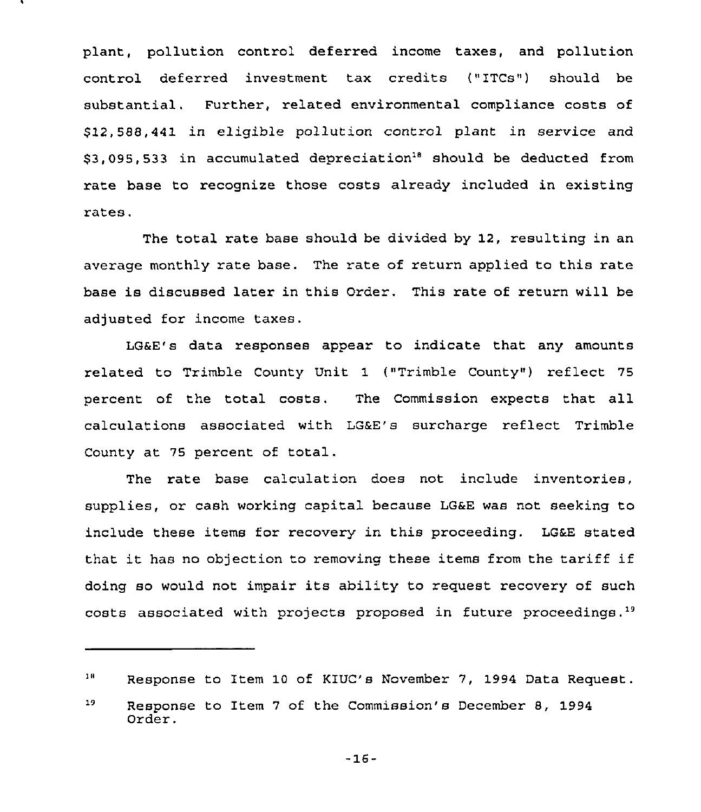plant, pollution control deferred income taxes, and pollution control deferred investment tax credits ("ITCs") should be substantial. Further, related environmental compliance costs of \$ 12,588,441 in eligible pollution control plant in service and \$3,095, 533 in accumulated depreciation<sup>18</sup> should be deducted from rate base to recognize those costs already included in existing rates.

The total rate base should be divided by 12, resulting in an average monthly rate base. The rate of return applied to this rate base is discussed later in this Order. This rate of return will be adjusted for income taxes.

LG&E's data responses appear to indicate that any amounts related to Trimble County Unit 1 ("Trimble County") reflect 75 percent of the total costs, The Commission expects that all calculations associated with LG&E's surcharge reflect Trimble County at 75 percent of total.

The rate base calculation does not include inventories, supplies, or cash working capital because LG&E was not seeking to include these items for recovery in this proceeding. LG&E stated that it has no objection to removing these items from the tariff if doing so would not impair its ability to request recovery of such ading so would not impair its ability to request recovery of such<br>costs associated with projects proposed in future proceedings.<sup>19</sup>

-16-

 $1B$ Response to Item 10 of KIUC's November 7, 1994 Data Request.

 $19<sub>1</sub>$ Response to Item <sup>7</sup> of the Commission's December 8, 1994 Order.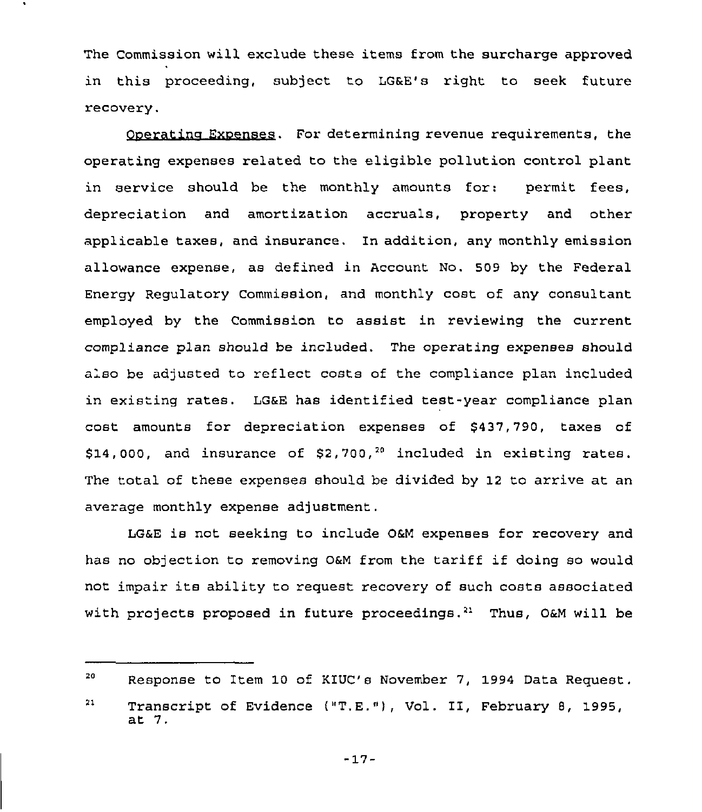The Commission will exclude these items from the surcharge approved in this proceeding, subject to LG&E's right to seek future recovery.

Ooeratino Exoenses. For determining revenue requirements, the operating expenses related to the eligible pollution control plant in service should be the monthly amounts for: permit fees, depreciation and amortization accruals, property and other applicable taxes, and insurance. In addition, any monthly emission allowance expense, as defined in Account No. 509 by the Federal Energy Regulatory Commission, and monthly cost of any consultant employed by the Commission to assist in reviewing the current compliance plan should be included. The operating expenses should also be adjusted to reflect costs of the compliance plan included in existing rates. LG&E has identified test-year compliance plan cost amounts for depreciation expenses of \$437,790, taxes of \$14,000, and insurance of  $$2,700<sup>20</sup>$  included in existing rates. The total of these expenses should be divided by 12 to arrive at an average monthly expense adjustment.

LG&E is not seeking to include 0&M expenses for recovery and has no objection to removing 0&M from the tariff if doing so would not impair its ability to request recovery of such costs associated with projects proposed in future proceedings.<sup>21</sup> Thus, O&M will be

<sup>20</sup> Response to Item 10 of KIUC's November 7, 1994 Data Request.

<sup>21</sup> Transcript of Evidence ("T.E."), Vol. II, February 8, 1995, at 7.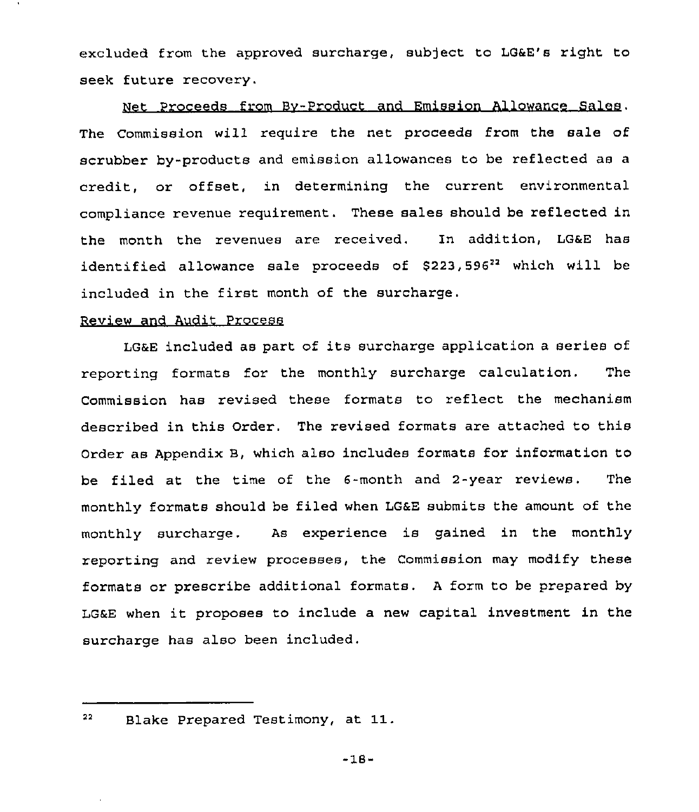excluded from the approved surcharge, subject to LGaE's right to seek future recovery,

Net Proceeds from Bv-Product and Emission Allowance Sales. The Commission will require the net proceeds from the sale of scrubber by-products and emission allowances to be reflected as a credit, or offset, in determining the current environmental compliance revenue requirement. These sales should be reflected in the month the revenues are received. In addition, LG6E has identified allowance sale proceeds of \$223,596<sup>22</sup> which will be included in the first month of the surcharge.

## Review and Audit Process

LGaE included as part of its surcharge application <sup>a</sup> series of reporting formats for the monthly surcharge calculation. The Commission has revised these formats to reflect the mechanism described in this Order. The revised formats are attached to this Order as Appendix B, which also includes formats for information to be filed at the time of the 6-month and 2-year reviews. The monthly formats should be filed when LGaE submits the amount of the monthly surcharge. As experience is gained in the monthly reporting and review processes, the Commission may modify these formats or prescribe additional formats. <sup>A</sup> form to be prepared by LGEE when it proposes to include <sup>a</sup> new capital investment in the surcharge has also been included.

#### 22 Blake Prepared Testimony, at 11.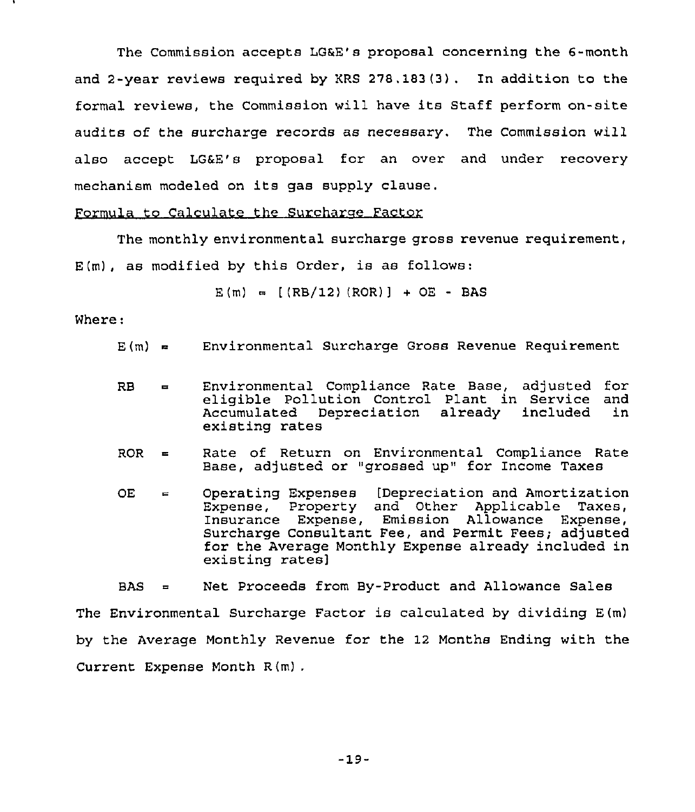The Commission accepts LGKE'8 proposal concerning the 6-month and 2-year reviews required by KRS 278,183(3) . In addition to the formal reviews, the Commission will have its Staff perform on-site audits of the surcharge records as necessary. The Commission will also accept LG&E'8 proposal for an over and under recovery mechanism modeled on its gas supply clause.

#### Formula to Calculate the Surcharge Factor

The monthly environmental surcharge gross revenue requirement, E(m), as modified by this Order, is as follows:

$$
E(m) = [(RB/12) (ROR)] + OE - BAS
$$

Where:

- $E(m) =$  Environmental Surcharge Gross Revenue Requirement
- RB Environmental Compliance Rate Base, adjusted for eligible Pollution Control Plant in Service and Accumulated Depreciation already included existing rates
- ROR = Rate of Return on Environmental Compliance Rate Base, adjusted or "grossed up" for Income Taxes
- $OE =$  Operating Expenses [Depreciation and Amortization Expense, Property and Other Applicable Taxes, Insurance Expense, Emission Allowance Expense, Surcharge Consultant Fee, and Permit Fees; adjusted for the Average Monthly Expense already included in existing rates]

BAS = Net Proceeds from By-Product and Allowance Sales The Environmental Surcharge Factor is calculated by dividing E(m) by the Average Monthly Revenue for the 12 Months Ending with the Current Expense Month R(m) .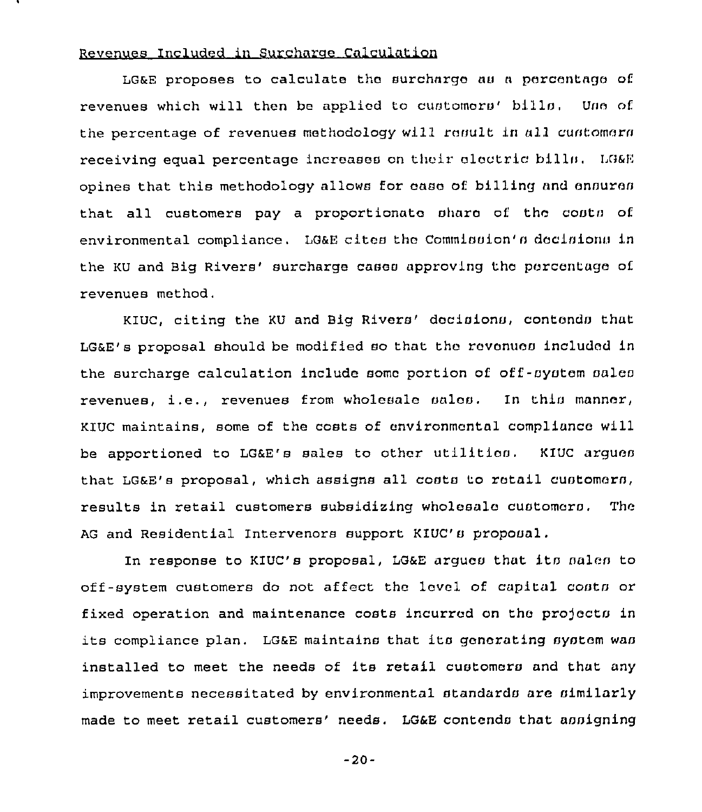## Revenues Included in Surcharae Calculation

LG&E proposes to calculate the surcharga nu a percentage of revenues which will then be applied to customors' bills. Uno of. the percentage of revenues methodology will result in all customers receiving equal percentage increases on their electric bills. LG&E opines that this methodology allows for case of billing and ensures that all customers pay a proportionate share of the costs of environmental compliance. LG&E cites the Commission's decisions in the KU and Big Rivers' surcharge cases approving the percentage of revenues method.

KIUC, citing the KU and Big Rivers' decisions, contends that LG&E's proposal should be modified so that thc rcvanucs included in the surcharge calculation include some portion of off-system sales revenues, i.e., revenues from wholesale salon. In this manner, KIUC maintains, some of the costs of environmental compliance will be apportioned to LG&E's sales to other utilitios. KIUC argues that LG&E's proposal, which assigns all costs to retail customers, results in retail customers subsidizing wholesale customers. The AG and Residential Intervenors support KIUC's proposal.

In response to KIUC's proposal, LG&E argues that its sales to off-system customers do not affect the level of capital contn or fixed operation and maintenance costs incurred on thc pro)octa in its compliance plan. LG&E maintains that its generating system was installed to meet the needs of its retail customars and that any improvements necessitated by environmental standards are similarly made to meet retail customers' needs. LG&E contends that assigning

-20-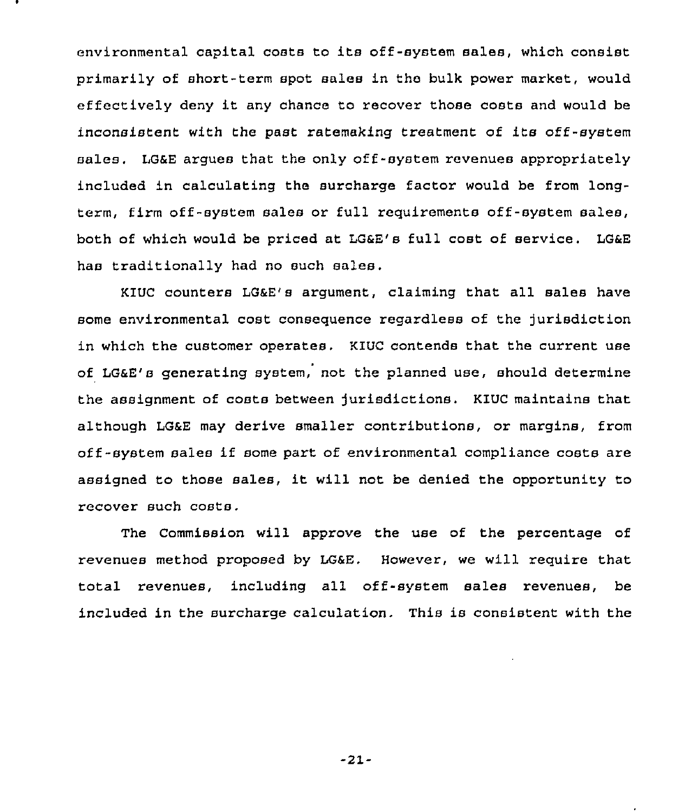environmental capital costs to its off-system sales, which consist primarily of short-term spot sales in the bulk power market, would effectively deny it any chance to recover those costs and would be inconsistent with the past ratemaking treatment of its off-system sales. LG&E argues that the only off-system revenues appropriately included in calculating the surcharge factor would be from longterm, firm off -system sales or full requirements off-system sales, both of which would be priced at LG&E's full cost of service. LG&E has traditionally had no such sales.

KIUC counters LG&E's argument, claiming that all sales have some environmental cost consequence regardless of the jurisdiction in which the customer operates, KlUC contends that the current use of LG&E's generating system, not the planned use, should determine the assignment of costs between jurisdictions. KIUC maintains that although LG&E may derive smaller contributions, or margins, from off-system sales if some part of environmental compliance costs are assigned to those sales, it will not be denied the opportunity to recover such costs.

The Commission will approve the use of the percentage of revenues method proposed by LG&E, However, we will require that total revenues, including all off-system sales revenues, be included in the surcharge calculation. This is consistent with the

-21-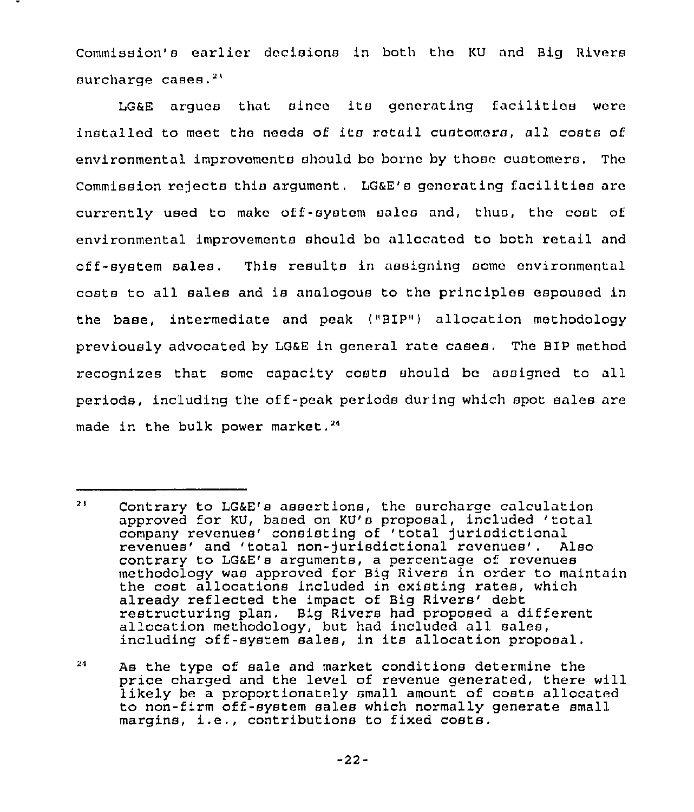Commission's earlier decisions in both the KU and Big Rivers surcharge cases.<sup>21</sup>

LG&E arques that since its generating facilities were installed to meet the needs of ita retail customers, all costa of environmental improvements should ba borna by those customers, The Commission rejects this argument. LG&E's goncrating facilities are currently used to make off-system sales and, thus, thc coat of environmental improvements should ba allocated to both retail and off-system sales. This results in assigning some environmental costs to all sales and is analogous to the principles espoused in the base, intermediate and peak ("BIP") allocation methodology previously advocated by LG&E in general rate cases. The BIP method recognizes that some capacity costa should bc assigned to all periods, including the off-peak periods during which spot sales are made in the bulk power market.<sup>24</sup>

 $2.1$ Contrary to LG&E's assertions, the surcharge calculation approved for KU, based on KU's proposal, included 'total company revenues' consisting of 'total jurisdictional revenues' and 'total non-jurisdictional revenues'. Also contrary to LG&E's arguments, a percentage of revenues methodology was approved for Big Rivers in order to maintain the cost allocations included in existing rates, which already reflected the impact of Big Rivers' debt restructuring plan. Big Rivers had proposed a different allocation methodology, but had included all sales, including off-system sales, in its allocation proposal,

<sup>24</sup> As the type of sale and market conditions determine the price charged and the level of revenue generated, there will likely be a proportionately small amount of costs allocated to non-firm off-system sales which normally generate small margins, i.e., contributions to fixed costs.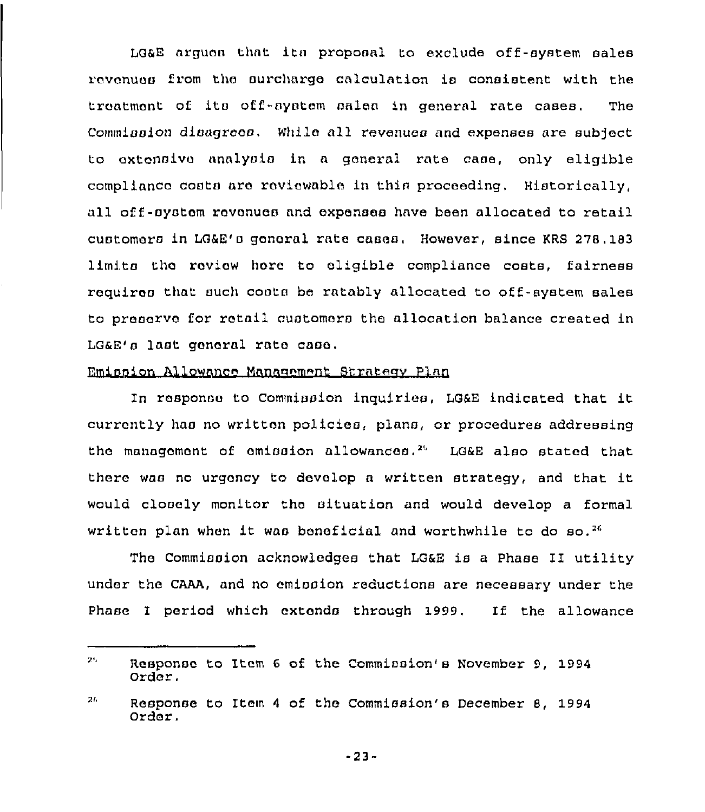LG8E argues that itn proposal to exclude off-system sales rovanuos from thc surcharge calculation ia ccnoistent with the troatmont of its off-aystem sales in general rate cases. The Commission disagrees. While all revenues and expenses are subject to extensive analysis in a general rate case, only eligible compliance costs aro rovicwable in this proceeding, Historically, all off-oystom rovonues and expenses have been allocated to retail customoro in LGRE'o gonoral rate cases, However, since KRS 278.183 limits the review hore to eligible compliance costs, fairness requires that such costs be ratably allocated to off-system sales to prooorvo for rotail customers the allocation balance created in LG&E's last gonoral rate caao,

## Emission Allowance Management Strategy Plan

In rosponso to Commission inquiries, LG6E indicated that it currently has no writton policies, plans, or procedures addressing the management of emission allowances.<sup>25</sup> LG&E also stated that there wao nc urgency to develop <sup>a</sup> written strategy, and that it would closely monitor the situation and would develop a formal written plan when it was beneficial and worthwhile to do  $50^{26}$ 

The Commission acknowledges that LG&E is a Phase II utility under the CAAA, and no emission reductions are necessary under the Phase I period which cxtondo through 1999. If the allowance

<sup>25.</sup> Response to Item 6 of the Commission's November 9, 1994 Order.

 $2L$ Response to Item 4 of the Commission's December 8, 1994 Order.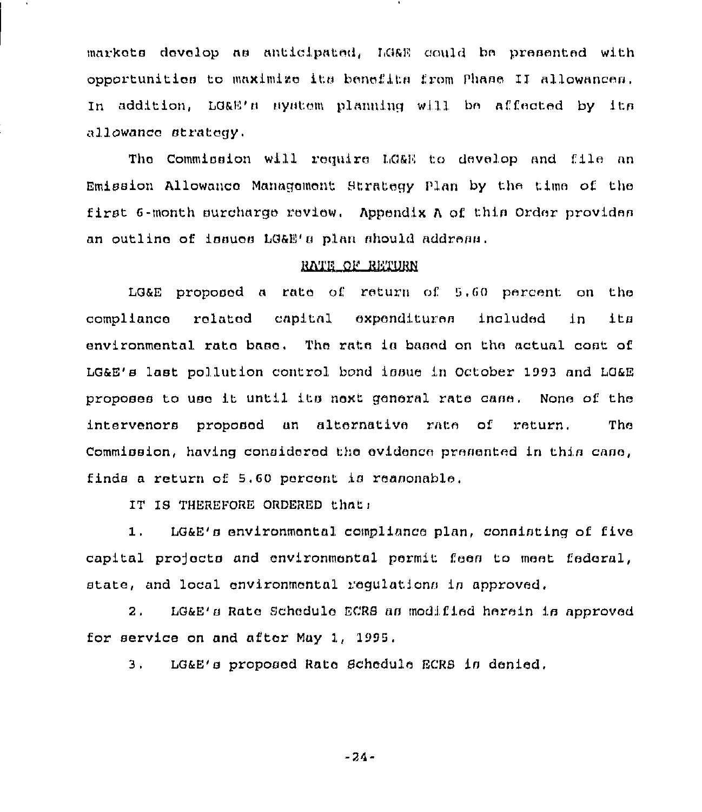markets develop as anticipated. LG&E could be presented with opportunities to maximize its benefits from Phase II allowances. In addition, LG&E's system planning will be affected by its allowance strategy.

The Commission will require LO&E to develop and file an Emission Allowance Management Strategy Plan by the time of the first 6-month surcharge review. Appendix A of this Order provides an outline of issues LG&E's plan should address.

#### RATE OF RETURN

LG&E proposed a rate of return of 5.60 percent on the compliance related capital expenditures included  $1n$ ita environmental rate base. The rate is based on the actual cost of LG&E's last pollution control bond issue in October 1993 and LG&E proposes to use it until its next general rate case. None of the intervenors proposed an alternative rate of return. The Commission, having considered the evidence presented in this case, finds a return of 5.60 percent is reasonable.

IT IS THEREFORE ORDERED that:

LG&E's environmental compliance plan, consisting of five  $1.$ capital projects and environmental permit fees to meet federal, state, and local environmental regulations in approved.

LG&E's Rate Schedule ECRS as modified herein is approved  $2.$ for service on and after May 1, 1995.

3. LG&E's proposed Rate Schedule ECRS is denied.

 $-24-$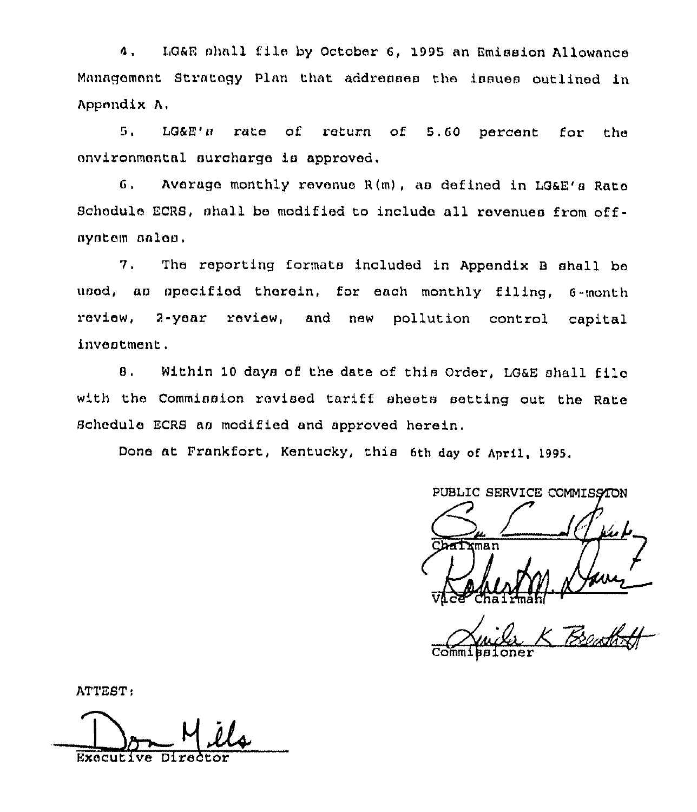LG&R shall file by October 6, 1995 an Emission Allowance  $\mathbf{A}$ Management Strategy Plan that addresses the issues outlined in Appendix A.

5. LG&E's rate of return of 5.60 percent for the environmental surcharge is approved.

 $6.$ Average monthly revenue R(m), as defined in LG&E's Rate Schedule ECRS, shall be modified to include all revenues from offsystem sales.

The reporting formats included in Appendix B shall be  $7.$ used, as specified therein, for each monthly filing, 6-month review, 2-year review, and new pollution control capital inventment.

Within 10 days of the date of this Order, LG&E shall file  $\mathbf{B}$ . with the Commission revised tariff sheets setting out the Rate Schedule ECRS as modified and approved herein.

Done at Frankfort, Kentucky, this 6th day of April, 1995.

PUBLIC SERVICE COMMISSION Chairman

ATTEST:

Executive Dire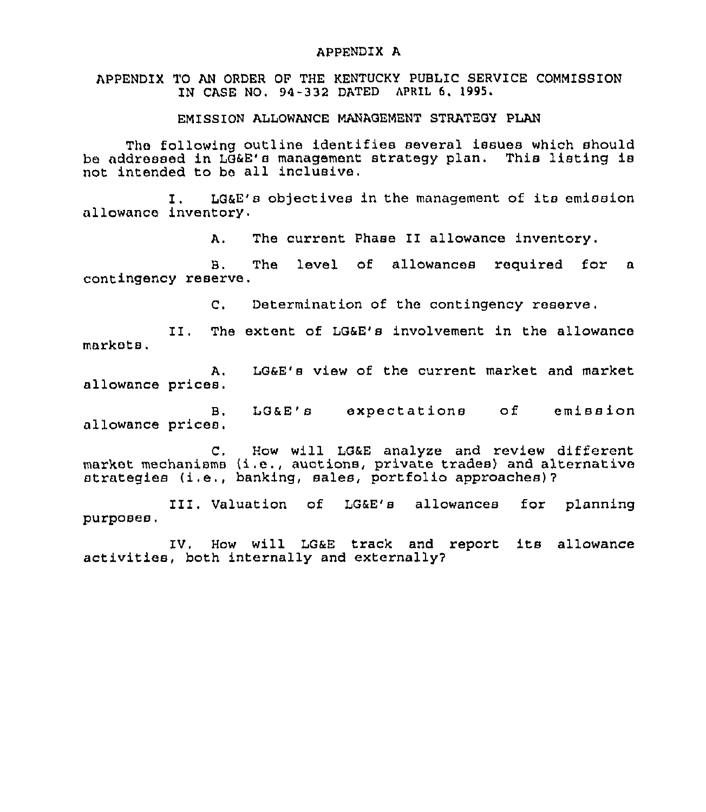#### APPENDIX A

APPENDIX TO AN ORDER OF THE KENTUCKY PUBLIC SERVICE COMMISSION IN CASE NO, 94-332 DATED APRIL 6. 1995.

EMISSION ALLOWANCE MANAGEMENT STRATEGY PLAN

Tho following outline identifies several issues which should be addressed in LG&E'a management strategy plan. This listing ia not intended to bo all inclusive.

I. LG&E'a objectives in the management of its emission allowanco inventory.

A, The current Phase II allowance inventory.

B. The level of allowances required for a contingency reserve.

C. Determination of the contingency reserve.

II. The extent of LG&E's involvement in the allowance markets,

A, LG&E'a view of the current market and market allowance prices.

B. LG&E's expectations of emission allowance prices.

C, How will LG&E analyze and review different market mechanisms (i,e., auctions, private trades} and alternative atrategiea (i.e., banking, sales, portfolio approaches}?

III, Valuation of LG&E's allowances for planning purposes,

IV. How will LG&E track and report its allowance activities, both internally and externally?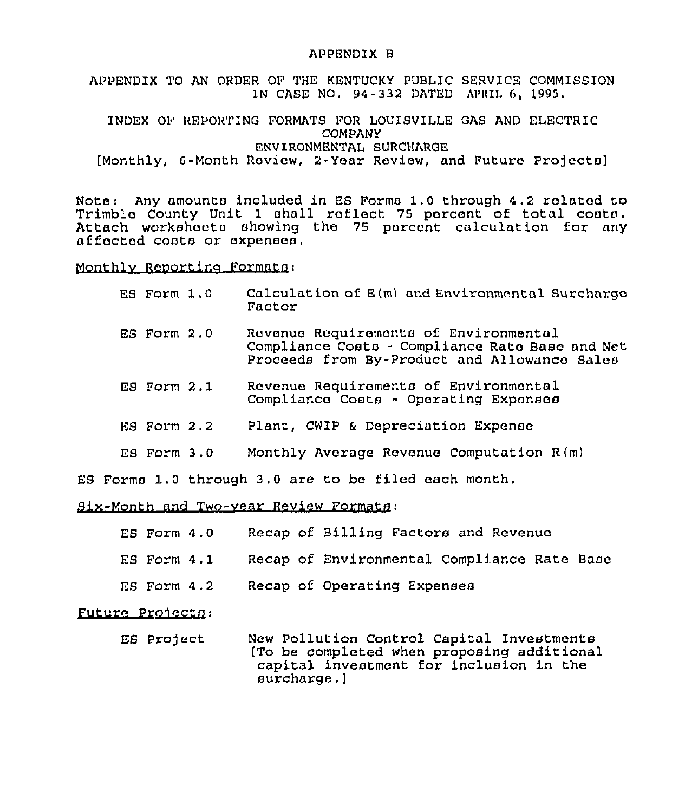#### APPENDIX B

APPENDIX TO AN ORDER OF THE KENTUCKY PUBLIC SERVICE COMMISSION IN CASE NO. 94-332 DATED APRIL 6, 1995.

INDEX OF REPORTING FORMATS FOR LOUISVILLE GAS AND ELECTRIC COMPANY ENVIRONMENTAL SURCHARGE [Monthly, 6-Month Review, 2-Year Review, and Futuro Pro]octa]

Note: Any amounts included in ES Forms 1.0 through 4.2 ralated to Trimble County Unit 1 shall reflect 75 percent of total costs. Attach worksheets showing the <sup>75</sup> percent calculation for any affected costs or expenses.

Monthlv Reoortina Formats:

- ES Form 1.0 Calculation of E(m) and Environmental Surcharge Factor
- ES Form 2.0 Revenue Requirements of Environmental Compliance Costs - Compliance Rate Base and Net Proceeds from By-Product and Allowance Sales
- ES Form 2.1 Revenue Requirements of Environmental Compliance Costs - Operating Expenses
- ES Form 2.2 Plant, CWIP & Depreciation Expense
- ES Form 3.0 Monthly Average Revenue Computation R(m)

ES Forms 1.0 through 3.0 are to be filed each month,

Six-Month and Two-vear Review Formats:

- ES Form 4.0 Recap of Billing Factors and Revenue
- ES Form 4.1 Recap of Environmental Compliance Rate Base
- ES Form 4.2 Recap of Operating Expenses

Future Pro4ects:

ES Project New Pollution Control Capital Investments [To be completed when proposing additional capital investment for inclusion in the surcharge.]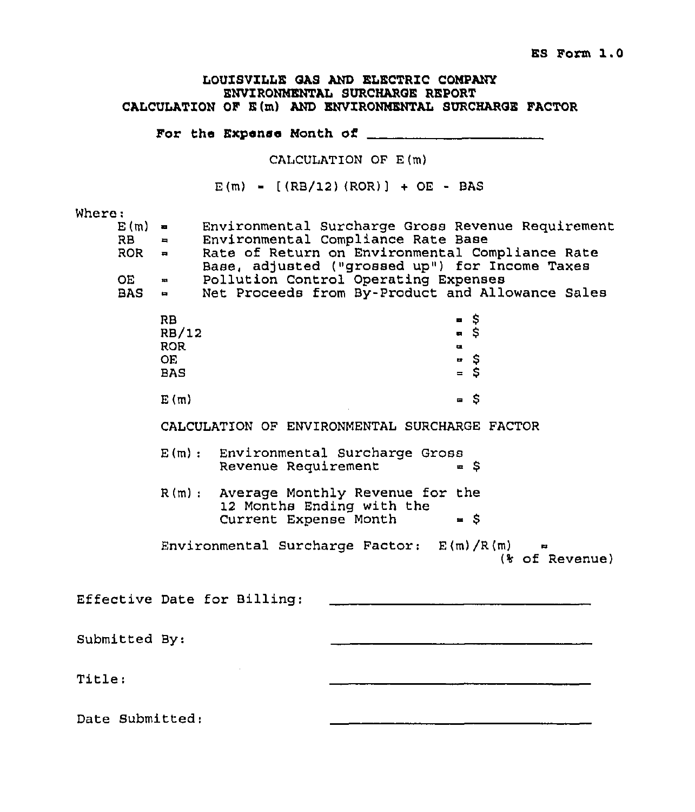## LOUISVILLE GAS AND ELECTRIC COMPANY ENVIRONMENTAL SURCHARGE REPORT CALCULATION OF E(m) AND ENVIRONMENTAL SURCHARGE FACTOR

For the Expanse Month of

CALCULATION OF E(m)

 $E(m) = [(RB/12) (ROR)] + OE - BAS$ 

## Where:

| <b>RB</b><br>OE | $E(m) =$<br><b>Property</b><br>$ROR =$<br>$\mathbf{m}$<br>$BAS =$ | Environmental Compliance Rate Base<br>Pollution Control Operating Expenses                  | Environmental Surcharge Gross Revenue Requirement<br>Rate of Return on Environmental Compliance Rate<br>Base, adjusted ("grossed up") for Income Taxes<br>Net Proceeds from By-Product and Allowance Sales |  |
|-----------------|-------------------------------------------------------------------|---------------------------------------------------------------------------------------------|------------------------------------------------------------------------------------------------------------------------------------------------------------------------------------------------------------|--|
|                 | RB<br>RB/12<br><b>ROR</b><br><b>OE</b><br><b>BAS</b>              |                                                                                             | \$<br>п<br>ត \$<br>ш.<br>ษ \$<br>$=$ S                                                                                                                                                                     |  |
|                 | E(m)                                                              |                                                                                             | - \$                                                                                                                                                                                                       |  |
|                 |                                                                   | CALCULATION OF ENVIRONMENTAL SURCHARGE FACTOR                                               |                                                                                                                                                                                                            |  |
|                 |                                                                   | E(m): Environmental Surcharge Gross<br>Revenue Requirement                                  | $= S$                                                                                                                                                                                                      |  |
|                 |                                                                   | R(m): Average Monthly Revenue for the<br>12 Months Ending with the<br>Current Expense Month | $=$ $\sqrt{5}$                                                                                                                                                                                             |  |
|                 |                                                                   | Environmental Surcharge Factor: E(m)/R(m)                                                   | (% of Revenue)                                                                                                                                                                                             |  |
|                 |                                                                   | Effective Date for Billing:                                                                 |                                                                                                                                                                                                            |  |
| Submitted By:   |                                                                   |                                                                                             |                                                                                                                                                                                                            |  |
| Title:          |                                                                   |                                                                                             |                                                                                                                                                                                                            |  |
| Date Submitted: |                                                                   |                                                                                             |                                                                                                                                                                                                            |  |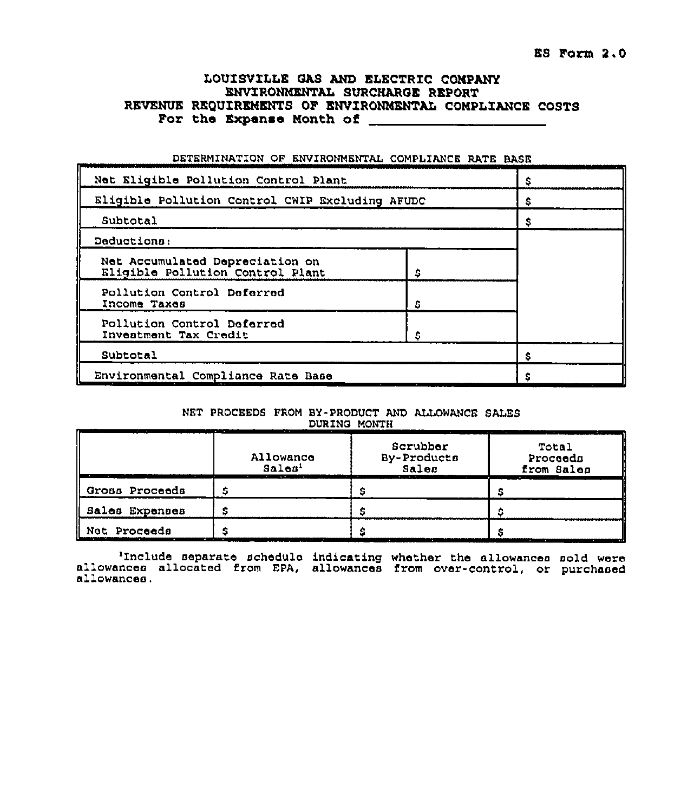## LOUISVILLE GAS AND ELECTRIC COMPANY ENVIRONMENTAL SURCNAROE REPORT REVENUE REQUIREMENTS OF ENVIRONMENTAL COMPLIANCE COSTS For tha Expanse Month of

| Net Eligible Pollution Control Plant                                |  |   |
|---------------------------------------------------------------------|--|---|
| Eligible Pollution Control CWIP Excluding AFUDC                     |  | s |
| Subtotal                                                            |  | s |
| Deductions:                                                         |  |   |
| Net Accumulated Depreciation on<br>Eligible Pollution Control Plant |  |   |
| Pollution Control Deferred<br>Income Taxes                          |  |   |
| Pollution Control Deferred<br>Investment Tax Credit                 |  |   |
| Subtotal                                                            |  |   |
| Environmental Compliance Rate Base                                  |  |   |

#### DETERMINATION OF ENVIRONMENTAL COMPLIANCE RATE BASK

#### NET PROCEEDS FROM BY-PRODUCT AND ALLOWANCE SALES DURING MONTH

|                 | Allowance<br>Sales'                          | Scrubber<br>By-Products<br>Sales | Total<br>Proceeds<br>from Sales |
|-----------------|----------------------------------------------|----------------------------------|---------------------------------|
| Gross Proceeds  |                                              |                                  |                                 |
| Sales Expenses  |                                              |                                  |                                 |
| Proceeds<br>Net | $\sim$ $\sim$ $\sim$<br>. .<br>$\sim$ $\sim$ | . .                              |                                 |

'Include separate schedulo indicating whether the allowances sold were allowances allocated from EPA, allowances from over-control, or purchased allowances.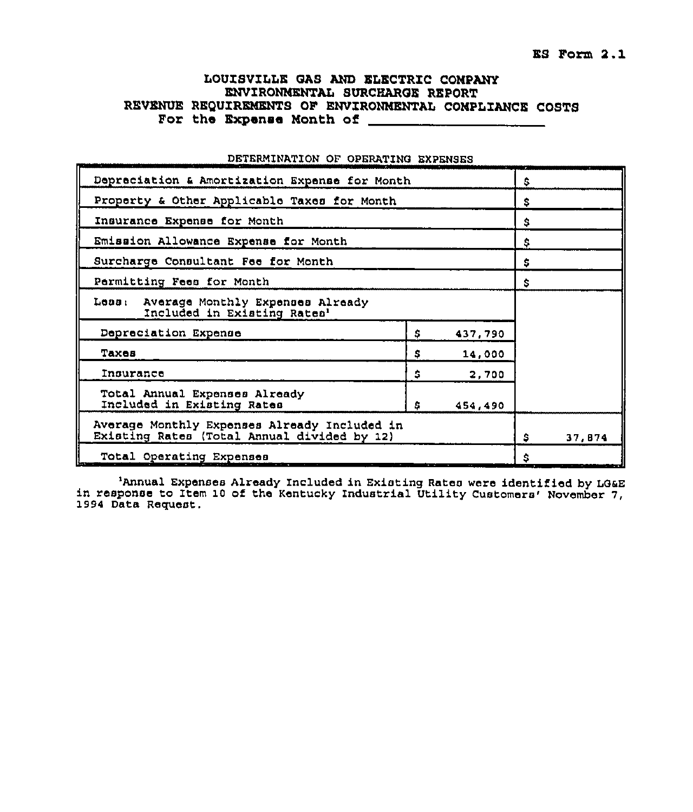## LOUISVILLE GAS AND ELECTRIC COMPANY ENVZRONMENTAL SURCHAROE REPORT REVENUE REQUIREMENTS OF ENVIRONMENTAL COMPLIANCE COSTS For the Expense Month of

| Depreciation & Amortization Expense for Month                                               | \$ |         |    |  |
|---------------------------------------------------------------------------------------------|----|---------|----|--|
| Property & Other Applicable Taxes for Month                                                 |    |         | \$ |  |
| Insurance Expense for Month                                                                 |    |         | \$ |  |
| Emission Allowance Expense for Month                                                        |    |         | Ŝ  |  |
| Surcharge Consultant Fee for Month                                                          |    |         | \$ |  |
| Parmitting Fees for Month                                                                   |    |         | Ŝ  |  |
| Less: Average Monthly Expenses Already<br>Included in Existing Rates1                       |    |         |    |  |
| Depreciation Expense                                                                        | \$ | 437.790 |    |  |
| Тахев                                                                                       | s  | 14,000  |    |  |
| Insurance                                                                                   | \$ | 2,700   |    |  |
| Total Annual Expenses Already<br>Included in Existing Rates                                 |    |         |    |  |
| Average Monthly Expenses Already Included in<br>Existing Rates (Total Annual divided by 12) | S. | 37,874  |    |  |
| Total Operating Expenses<br><b>Second</b>                                                   | Ŝ  |         |    |  |

### DETERMINATION OF OPERATINO EXPENSES

'Annual Expenses Already Included in Existing Rates were identified by LG&E<br>in response to Item 10 of the Kentucky Industrial Utility Customers' November 7,<br>1994 Data Request.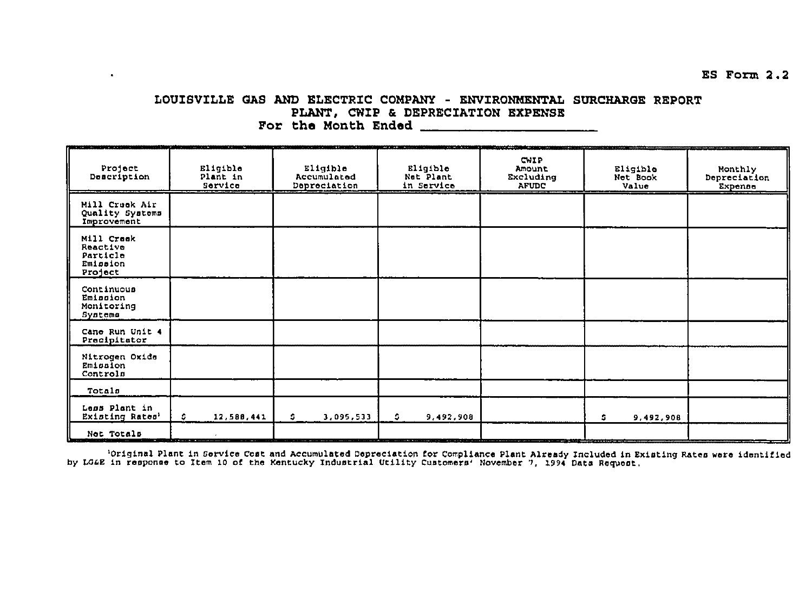# LOUISVILLE GAS AND ELECTRIC COMPANY - ENVIRONMENTAL SURCHARGE REPORT PLANT, CWIP & DEPRECIATION EXPENSE

 $\bullet$ 

| Project<br>Description                                    | Eligible<br>Plant in<br>Service | Eligible<br>Accumulated<br>Depreciation | Eligible<br>Net Plant<br>in Service                                                           | <b>The Contract Contract Contract Contract Contract Contract Contract Contract Contract Contract Contract Contract Contract Contract Contract Contract Contract Contract Contract Contract Contract Contract Contract Contract C</b><br>CWIP<br>Amount<br>Excluding<br>AFUDC | Eligible<br>Net Book<br>Value | Monthly<br>Depreciation<br>Expense |
|-----------------------------------------------------------|---------------------------------|-----------------------------------------|-----------------------------------------------------------------------------------------------|------------------------------------------------------------------------------------------------------------------------------------------------------------------------------------------------------------------------------------------------------------------------------|-------------------------------|------------------------------------|
| Mill Creek Air<br>Quality Systems<br>Improvement          |                                 |                                         |                                                                                               |                                                                                                                                                                                                                                                                              |                               |                                    |
| Mill Creek<br>Reactive<br>Particle<br>Emission<br>Project |                                 |                                         |                                                                                               |                                                                                                                                                                                                                                                                              |                               |                                    |
| Continuous<br>Emission<br>Monitoring<br>Systems           |                                 |                                         |                                                                                               |                                                                                                                                                                                                                                                                              |                               |                                    |
| Cane Run Unit 4<br>Precipitator                           |                                 |                                         |                                                                                               |                                                                                                                                                                                                                                                                              |                               |                                    |
| Nitrogen Oxida<br>Emission<br>Controls                    |                                 |                                         |                                                                                               |                                                                                                                                                                                                                                                                              |                               |                                    |
| Totals                                                    |                                 |                                         |                                                                                               |                                                                                                                                                                                                                                                                              |                               |                                    |
| Less Plant in<br>Existing Rates'                          | 12,588,441<br>s.                | $\mathfrak{S}$<br>3,095,533             | S.<br>9,492,908                                                                               |                                                                                                                                                                                                                                                                              | s<br>9,492,908                |                                    |
| Not Totals                                                | ----                            |                                         | a service and the contract of the contract of the contract of the contract of the contract of |                                                                                                                                                                                                                                                                              |                               |                                    |

<sup>1</sup>Original Plant in Service Cost and Accumulated Depreciation for Compliance Plant Already Included in Existing Rates were identified<br>by LG&E in response to Item 10 of the Kentucky Industrial Utility Customers' November 7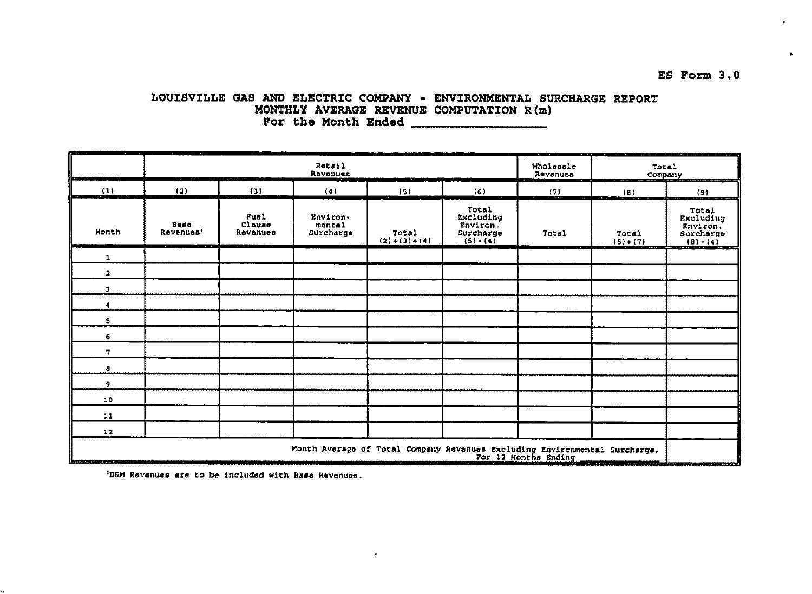# LOUISVILLE GAS AND ELECTRIC COMPANY - ENVIRONMENTAL SURCHARGE REPORT MONTHLY AVERAGE REVENUE COMPUTATION  $R(m)$ For the Month Ended

| <u> importante</u>                                   | <b>Rotail</b><br>Ravenues |                            |                                        |                                                                            |                                                            | ---<br>Wholesale<br>Revenues | $\sim$<br>Total<br>Company                                                                                                | the company's product of the company's company's company's and the company's |
|------------------------------------------------------|---------------------------|----------------------------|----------------------------------------|----------------------------------------------------------------------------|------------------------------------------------------------|------------------------------|---------------------------------------------------------------------------------------------------------------------------|------------------------------------------------------------------------------|
| (1)<br><b>STATISTICS</b><br>$\overline{\phantom{a}}$ | (2)                       | (3)                        | (4)                                    | (5)                                                                        | (6)                                                        | (7)                          | $\overline{10}$<br>$\cdots$                                                                                               | (9)                                                                          |
| Month                                                | Base<br>Revenues'         | Fuel<br>Clause<br>Revenues | Environ-<br>mental<br><b>Surcharge</b> | Total<br>$(2) + (3) + (4)$                                                 | Total<br>Excluding<br>Environ.<br>Surcharge<br>$(5) - (4)$ | Total                        | Total<br>$(5)+(7)$                                                                                                        | <b>Total</b><br>Excluding<br>Environ.<br>Surcharge<br>$(B) - (4)$            |
| $\mathbf{1}$                                         |                           |                            |                                        |                                                                            |                                                            |                              |                                                                                                                           |                                                                              |
| $\mathbf{a}$                                         |                           |                            |                                        |                                                                            |                                                            |                              |                                                                                                                           |                                                                              |
| $\mathbf{a}$                                         |                           |                            |                                        |                                                                            |                                                            |                              |                                                                                                                           |                                                                              |
| 4                                                    |                           |                            |                                        |                                                                            |                                                            |                              |                                                                                                                           |                                                                              |
| 5                                                    |                           |                            |                                        |                                                                            |                                                            |                              |                                                                                                                           |                                                                              |
| 6                                                    |                           |                            |                                        |                                                                            |                                                            |                              |                                                                                                                           |                                                                              |
| 7                                                    |                           |                            |                                        |                                                                            |                                                            |                              |                                                                                                                           |                                                                              |
| 8                                                    |                           |                            |                                        |                                                                            |                                                            |                              |                                                                                                                           |                                                                              |
| 9                                                    |                           |                            |                                        |                                                                            |                                                            |                              |                                                                                                                           |                                                                              |
| 10                                                   |                           |                            |                                        |                                                                            |                                                            |                              |                                                                                                                           |                                                                              |
| 11                                                   |                           |                            |                                        |                                                                            |                                                            |                              |                                                                                                                           |                                                                              |
| 12                                                   |                           |                            |                                        |                                                                            |                                                            |                              |                                                                                                                           |                                                                              |
| ---                                                  |                           |                            |                                        | Month Average of Total Company Revenues Excluding Environmental Surcharge, |                                                            | For 12 Months Ending         | <b>The Experimental Contract Contract Service Contract Contract Contract Contract Contract Contract Contract Contract</b> |                                                                              |

 $\cdot$ 

'DSM Revenues are to be included with Base Revenues.

ES Form 3.0

 $\bullet$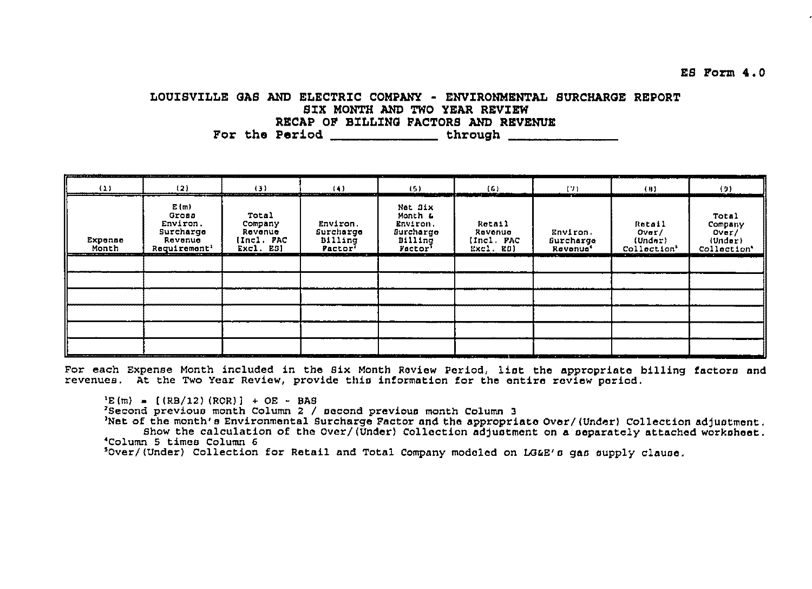ES Form 4.0

## LOUISVILLE GAS AND ELECTRIC COMPANY - ENVIRONMENTAL SURCHARGE REPORT SIX MONTH AND TWO YEAR REVIEW RECAP OF BILLING FACTORS AND REVENUE

| products and the management of the constant of the contribution and states in the first involvement of the<br>(1) | (2)                                                                           | (3)                                                    | (4)<br><b>The State of State</b>                              | (5)                                                               | (6)<br>m                                     | (7)                                           | (1)                                                                        | (9)                                                 |
|-------------------------------------------------------------------------------------------------------------------|-------------------------------------------------------------------------------|--------------------------------------------------------|---------------------------------------------------------------|-------------------------------------------------------------------|----------------------------------------------|-----------------------------------------------|----------------------------------------------------------------------------|-----------------------------------------------------|
| Expense<br>Month                                                                                                  | E(m)<br>Gross<br>Environ.<br>Surcharge<br>Revenue<br>Requirement <sup>1</sup> | Total<br>Company<br>Revenue<br>(Incl. FAC<br>Excl. ES) | Environ.<br>Surcharge<br>Billing<br>Pactor <sup>1</sup><br>-- | Net Six<br>Month 4<br>Environ.<br>Burcharge<br>B1111nq<br>Factor' | Retail<br>Ravenue<br>(Incl. FAC<br>Excl. ED) | Environ.<br>Gurcharge<br>Revonue <sup>4</sup> | Rotail<br>Over/<br>(Under)<br>Collection'<br><b>Products and Contracts</b> | Total<br>Company<br>Over/<br>(Under)<br>Collection' |
|                                                                                                                   |                                                                               |                                                        |                                                               |                                                                   |                                              |                                               |                                                                            |                                                     |
|                                                                                                                   |                                                                               |                                                        |                                                               |                                                                   |                                              |                                               |                                                                            |                                                     |
|                                                                                                                   |                                                                               |                                                        |                                                               |                                                                   |                                              |                                               |                                                                            |                                                     |
|                                                                                                                   |                                                                               |                                                        |                                                               |                                                                   |                                              |                                               |                                                                            |                                                     |
|                                                                                                                   |                                                                               |                                                        |                                                               |                                                                   |                                              |                                               |                                                                            |                                                     |
|                                                                                                                   |                                                                               |                                                        |                                                               |                                                                   | . .                                          | لداناها الأكاسي والمتباين                     |                                                                            |                                                     |

For each Expense Month included in the Six Month Review Period, list the appropriate billing factors and revenues. At the Two Year Review, provide this information for the entire review period.

 $E(m) = [(RB/12) (ROR)] + OE - BAS$ 

'Second previous month Column 2 / second previous month Column 3

Net of the month's Environmental Surcharge Factor and the appropriate Over/(Under) Collection adjustment. Show the calculation of the Over/(Under) Collection adjustment on a separately attached worksheet.

'Column 5 times Column 6

Sover/(Under) Collection for Retail and Total Company modeled on LG&E's gas supply clause.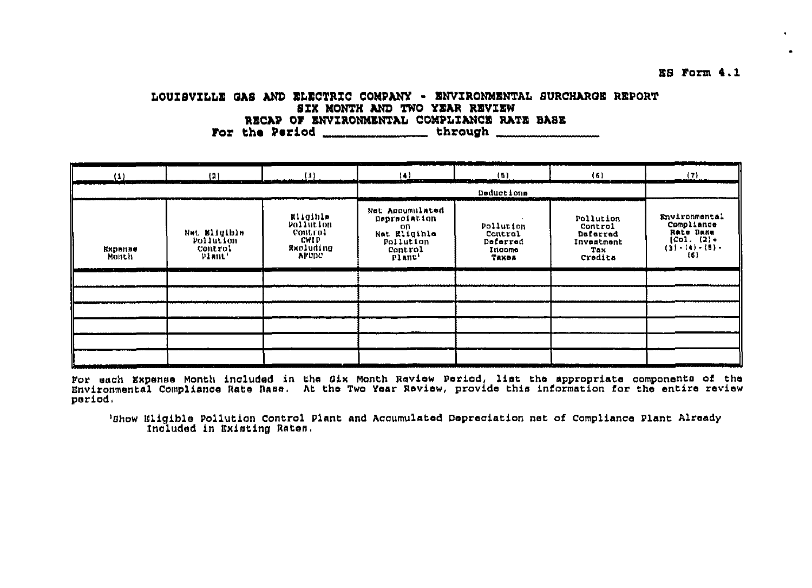## LOUISVILLE GAS AND ELECTRIC COMPANY - ENVIRONMENTAL SURCHARGE REPORT SIX MONTH AND TWO YEAR REVIEW RECAP OF ENVIRONMENTAL COMPLIANCE RATE BASE For the Period \_\_\_\_\_\_\_\_\_\_\_\_\_\_\_\_\_\_\_\_\_\_\_\_ through \_\_\_\_\_\_\_\_\_\_\_\_\_\_

| (1)              | (2)                                                   | (3)                                                                   | (4)                                                                                     | (5)                                                 | (6)                                                              | (7)                                                                                     |
|------------------|-------------------------------------------------------|-----------------------------------------------------------------------|-----------------------------------------------------------------------------------------|-----------------------------------------------------|------------------------------------------------------------------|-----------------------------------------------------------------------------------------|
|                  |                                                       |                                                                       |                                                                                         | Deductions                                          |                                                                  |                                                                                         |
| Ехрипие<br>Month | Nat Milgible<br>Poliution<br><b>Control</b><br>Plant' | <b>Eligible</b><br>Pollution<br>Control<br>CWIP<br>RNOINGING<br>AFUDC | Net Accumulated<br>Depreciation<br>on<br>Net Eligible<br>Pollution<br>Control<br>Plant' | Pollution<br>Control<br>Deferred<br>Income<br>Тахол | Pollution<br>Control<br>Deferred<br>Investment<br>Tax<br>Credits | Environmental<br>Compliance<br>Rate Base<br>$[CO1. (2) +$<br>$(3) - (4) - (5) -$<br>(6) |
|                  |                                                       |                                                                       |                                                                                         |                                                     |                                                                  |                                                                                         |
|                  |                                                       |                                                                       |                                                                                         |                                                     |                                                                  |                                                                                         |
|                  |                                                       |                                                                       |                                                                                         |                                                     |                                                                  |                                                                                         |
|                  |                                                       |                                                                       |                                                                                         |                                                     |                                                                  |                                                                                         |
|                  |                                                       |                                                                       |                                                                                         |                                                     |                                                                  |                                                                                         |
|                  |                                                       |                                                                       |                                                                                         |                                                     |                                                                  |                                                                                         |

For each Expense Month included in the Six Month Review Period, list the appropriate components of the Environmental Compliance Rate Base. At the Two Year Review, provide this information for the entire review period.

'Show Eligible Pollution Control Plant and Accumulated Depreciation net of Compliance Plant Already Included in Existing Rates.

E8 Form 4.1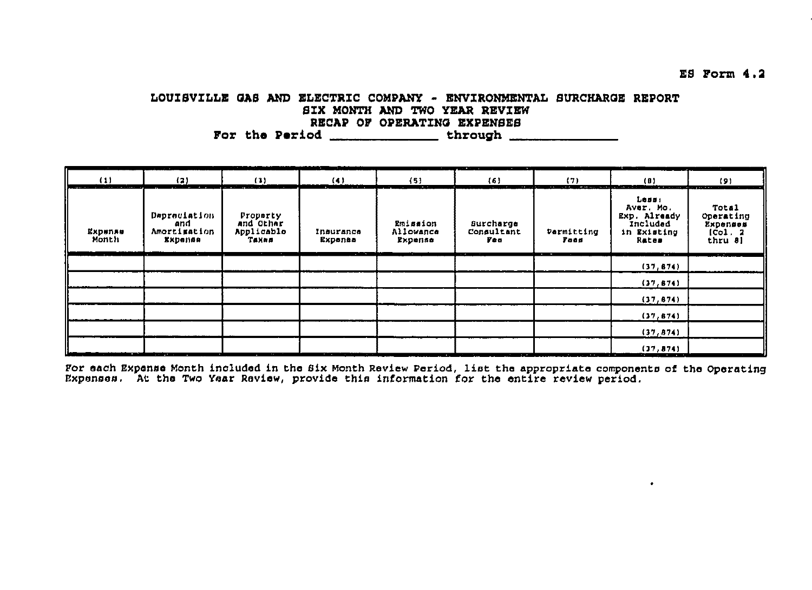LOUISVILLE GAS AND ELECTRIC COMPANY - ENVIRONMENTAL SURCHARGE REPORT SIX MONTH AND TWO YEAR REVIEW RECAP OF OPERATING EXPENSES For the Period \_\_\_\_\_\_\_\_\_\_\_\_\_\_\_\_\_through \_\_\_\_\_\_\_\_\_\_\_\_\_\_\_

| (1)<br>companies to the companies of the company | (2)                                                                                                                                                                                                                                  | (1)                                          | (4)                      | $\{5\}$<br>$\sim$                | (6)                                       | (7)<br>$\cdots$ $\cdots$                                                                                                                                                                                                             | (0)<br>was an answer and a finding of the state of the state of the state of the state of the state of the state of the state of the state of the state of the state of the state of the state of the state of the state of the state             | (9)                                                         |
|--------------------------------------------------|--------------------------------------------------------------------------------------------------------------------------------------------------------------------------------------------------------------------------------------|----------------------------------------------|--------------------------|----------------------------------|-------------------------------------------|--------------------------------------------------------------------------------------------------------------------------------------------------------------------------------------------------------------------------------------|---------------------------------------------------------------------------------------------------------------------------------------------------------------------------------------------------------------------------------------------------|-------------------------------------------------------------|
| Expense<br>Month                                 | Depreciation<br>and<br>Amortimation<br>Ехреппе                                                                                                                                                                                       | Property<br>and Other<br>Applicable<br>Taxas | Insurance<br>Expense     | Emission<br>Allowance<br>Expense | Surcharge<br>Consultant<br>ye a<br>$\sim$ | Permitting<br>Food                                                                                                                                                                                                                   | Less:<br>Aver. Mo.<br>Exp. Already<br>Included<br>in Existing<br>Rates                                                                                                                                                                            | <b>Total</b><br>Operating<br>Expenses<br>(Col. 2<br>thru 8) |
|                                                  |                                                                                                                                                                                                                                      |                                              |                          |                                  |                                           |                                                                                                                                                                                                                                      | - -<br>(37, 674)                                                                                                                                                                                                                                  | --                                                          |
|                                                  |                                                                                                                                                                                                                                      |                                              |                          |                                  |                                           |                                                                                                                                                                                                                                      | (37, 674)                                                                                                                                                                                                                                         |                                                             |
|                                                  |                                                                                                                                                                                                                                      |                                              |                          |                                  |                                           |                                                                                                                                                                                                                                      | (37, 674)                                                                                                                                                                                                                                         |                                                             |
|                                                  |                                                                                                                                                                                                                                      |                                              |                          |                                  |                                           |                                                                                                                                                                                                                                      | (37, 674)                                                                                                                                                                                                                                         |                                                             |
|                                                  |                                                                                                                                                                                                                                      |                                              |                          |                                  |                                           |                                                                                                                                                                                                                                      | (37, 874)                                                                                                                                                                                                                                         |                                                             |
| فسد                                              | <u>minute and a series of the series of the series of the series of the series of the series of the series of the series of the series of the series of the series of the series of the series of the series of the series of th</u> |                                              | .<br>and the property of |                                  | the control of the control of the         | <u>The contract of the company of the contract of the contract of the contract of the contract of the contract of the contract of the contract of the contract of the contract of the contract of the contract of the contract o</u> | (37, 874)<br><u>in the company of the company of the company of the company of the company of the company of the company of the company of the company of the company of the company of the company of the company of the company of the comp</u> |                                                             |

For each Expense Month included in the Six Month Review Period, list the appropriate components of the Operating<br>Expenses. At the Two Year Review, provide this information for the entire review period.

 $E9$  Form  $4.2$ 

 $\bullet$